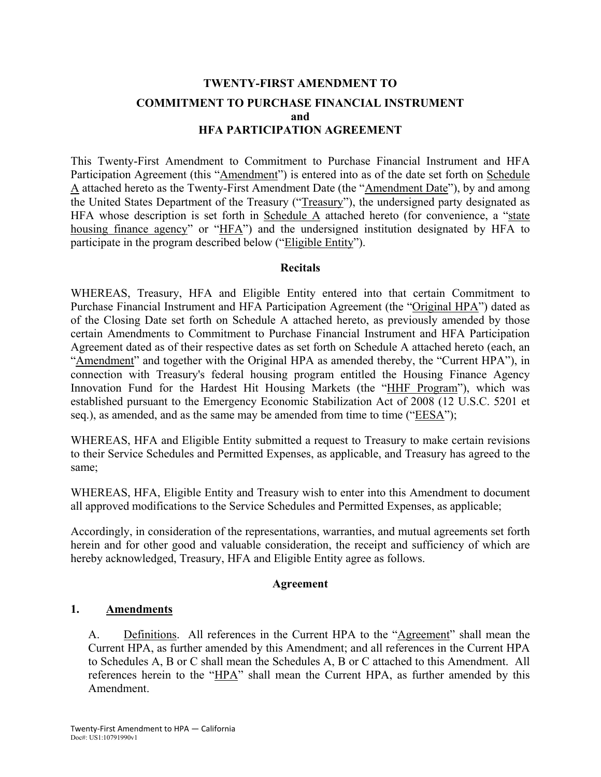# **TWENTY-FIRST AMENDMENT TO COMMITMENT TO PURCHASE FINANCIAL INSTRUMENT and HFA PARTICIPATION AGREEMENT**

This Twenty-First Amendment to Commitment to Purchase Financial Instrument and HFA Participation Agreement (this "Amendment") is entered into as of the date set forth on Schedule A attached hereto as the Twenty-First Amendment Date (the "Amendment Date"), by and among the United States Department of the Treasury ("Treasury"), the undersigned party designated as HFA whose description is set forth in Schedule A attached hereto (for convenience, a "state housing finance agency" or "HFA") and the undersigned institution designated by HFA to participate in the program described below ("Eligible Entity").

#### **Recitals**

WHEREAS, Treasury, HFA and Eligible Entity entered into that certain Commitment to Purchase Financial Instrument and HFA Participation Agreement (the "Original HPA") dated as of the Closing Date set forth on Schedule A attached hereto, as previously amended by those certain Amendments to Commitment to Purchase Financial Instrument and HFA Participation Agreement dated as of their respective dates as set forth on Schedule A attached hereto (each, an "Amendment" and together with the Original HPA as amended thereby, the "Current HPA"), in connection with Treasury's federal housing program entitled the Housing Finance Agency Innovation Fund for the Hardest Hit Housing Markets (the "HHF Program"), which was established pursuant to the Emergency Economic Stabilization Act of 2008 (12 U.S.C. 5201 et seq.), as amended, and as the same may be amended from time to time ("EESA");

WHEREAS, HFA and Eligible Entity submitted a request to Treasury to make certain revisions to their Service Schedules and Permitted Expenses, as applicable, and Treasury has agreed to the same;

WHEREAS, HFA, Eligible Entity and Treasury wish to enter into this Amendment to document all approved modifications to the Service Schedules and Permitted Expenses, as applicable;

Accordingly, in consideration of the representations, warranties, and mutual agreements set forth herein and for other good and valuable consideration, the receipt and sufficiency of which are hereby acknowledged, Treasury, HFA and Eligible Entity agree as follows.

#### **Agreement**

### **1. Amendments**

A. Definitions. All references in the Current HPA to the "Agreement" shall mean the Current HPA, as further amended by this Amendment; and all references in the Current HPA to Schedules A, B or C shall mean the Schedules A, B or C attached to this Amendment. All references herein to the "HPA" shall mean the Current HPA, as further amended by this Amendment.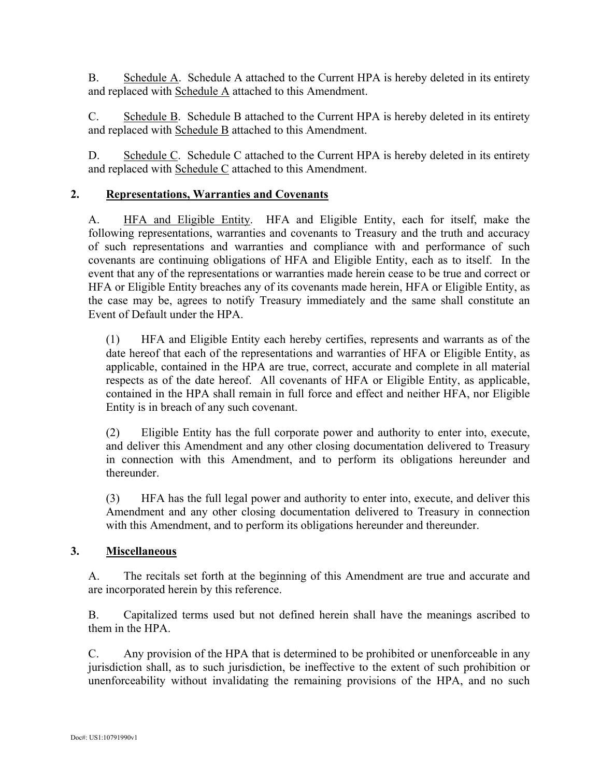B. Schedule A. Schedule A attached to the Current HPA is hereby deleted in its entirety and replaced with Schedule A attached to this Amendment.

C. Schedule B. Schedule B attached to the Current HPA is hereby deleted in its entirety and replaced with Schedule B attached to this Amendment.

D. Schedule C. Schedule C attached to the Current HPA is hereby deleted in its entirety and replaced with Schedule C attached to this Amendment.

### **2. Representations, Warranties and Covenants**

A. HFA and Eligible Entity. HFA and Eligible Entity, each for itself, make the following representations, warranties and covenants to Treasury and the truth and accuracy of such representations and warranties and compliance with and performance of such covenants are continuing obligations of HFA and Eligible Entity, each as to itself. In the event that any of the representations or warranties made herein cease to be true and correct or HFA or Eligible Entity breaches any of its covenants made herein, HFA or Eligible Entity, as the case may be, agrees to notify Treasury immediately and the same shall constitute an Event of Default under the HPA.

(1) HFA and Eligible Entity each hereby certifies, represents and warrants as of the date hereof that each of the representations and warranties of HFA or Eligible Entity, as applicable, contained in the HPA are true, correct, accurate and complete in all material respects as of the date hereof. All covenants of HFA or Eligible Entity, as applicable, contained in the HPA shall remain in full force and effect and neither HFA, nor Eligible Entity is in breach of any such covenant.

(2) Eligible Entity has the full corporate power and authority to enter into, execute, and deliver this Amendment and any other closing documentation delivered to Treasury in connection with this Amendment, and to perform its obligations hereunder and thereunder.

(3) HFA has the full legal power and authority to enter into, execute, and deliver this Amendment and any other closing documentation delivered to Treasury in connection with this Amendment, and to perform its obligations hereunder and thereunder.

### **3. Miscellaneous**

A. The recitals set forth at the beginning of this Amendment are true and accurate and are incorporated herein by this reference.

B. Capitalized terms used but not defined herein shall have the meanings ascribed to them in the HPA.

C. Any provision of the HPA that is determined to be prohibited or unenforceable in any jurisdiction shall, as to such jurisdiction, be ineffective to the extent of such prohibition or unenforceability without invalidating the remaining provisions of the HPA, and no such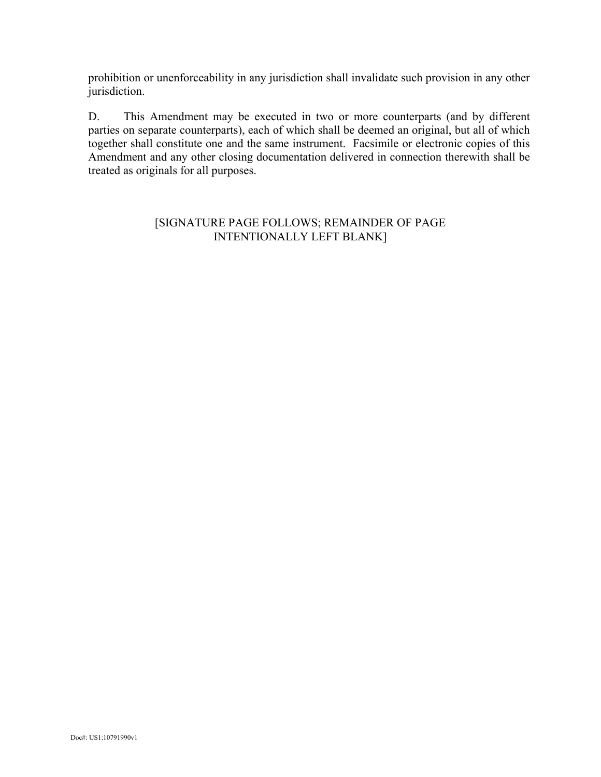prohibition or unenforceability in any jurisdiction shall invalidate such provision in any other jurisdiction.

D. This Amendment may be executed in two or more counterparts (and by different parties on separate counterparts), each of which shall be deemed an original, but all of which together shall constitute one and the same instrument. Facsimile or electronic copies of this Amendment and any other closing documentation delivered in connection therewith shall be treated as originals for all purposes.

#### [SIGNATURE PAGE FOLLOWS; REMAINDER OF PAGE INTENTIONALLY LEFT BLANK]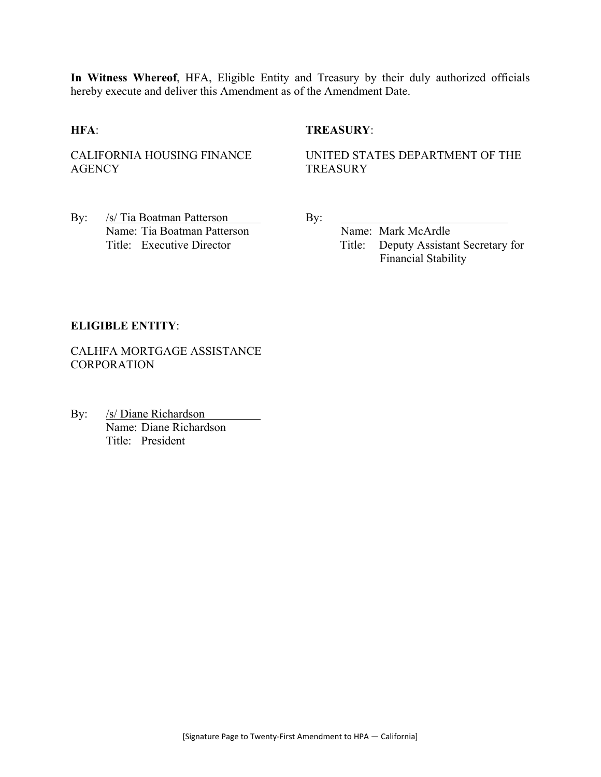**In Witness Whereof**, HFA, Eligible Entity and Treasury by their duly authorized officials hereby execute and deliver this Amendment as of the Amendment Date.

#### **HFA**: **TREASURY**:

CALIFORNIA HOUSING FINANCE **AGENCY** 

UNITED STATES DEPARTMENT OF THE **TREASURY** 

By: /s/ Tia Boatman Patterson By: Name: Tia Boatman Patterson Name: Mark McArdle

Title: Executive Director Title: Deputy Assistant Secretary for Financial Stability

#### **ELIGIBLE ENTITY**:

CALHFA MORTGAGE ASSISTANCE **CORPORATION** 

By: /s/ Diane Richardson Name: Diane Richardson Title: President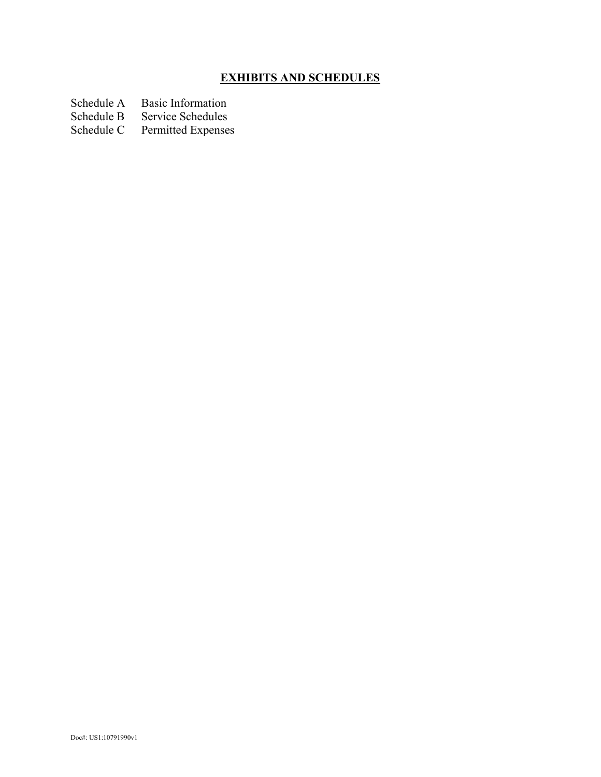# **EXHIBITS AND SCHEDULES**

- Schedule A Basic Information<br>Schedule B Service Schedules
- Schedule B Service Schedules<br>Schedule C Permitted Expenses
- Permitted Expenses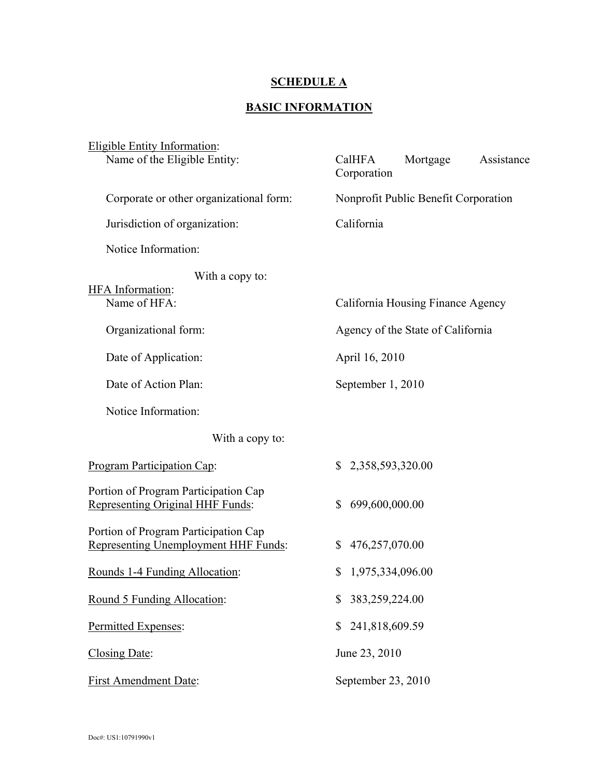# **SCHEDULE A**

### **BASIC INFORMATION**

| <b>Eligible Entity Information:</b><br>Name of the Eligible Entity:                 | Mortgage<br>Assistance<br>CalHFA<br>Corporation |  |  |
|-------------------------------------------------------------------------------------|-------------------------------------------------|--|--|
| Corporate or other organizational form:                                             | Nonprofit Public Benefit Corporation            |  |  |
| Jurisdiction of organization:                                                       | California                                      |  |  |
| Notice Information:                                                                 |                                                 |  |  |
| With a copy to:<br>HFA Information:<br>Name of HFA:                                 | California Housing Finance Agency               |  |  |
| Organizational form:                                                                | Agency of the State of California               |  |  |
| Date of Application:                                                                | April 16, 2010                                  |  |  |
| Date of Action Plan:                                                                | September 1, 2010                               |  |  |
| Notice Information:                                                                 |                                                 |  |  |
| With a copy to:                                                                     |                                                 |  |  |
| Program Participation Cap:                                                          | 2,358,593,320.00<br>$\mathbb{S}$                |  |  |
| Portion of Program Participation Cap<br><b>Representing Original HHF Funds:</b>     | 699,600,000.00<br>\$                            |  |  |
| Portion of Program Participation Cap<br><b>Representing Unemployment HHF Funds:</b> | 476,257,070.00<br>\$                            |  |  |
| Rounds 1-4 Funding Allocation:                                                      | 1,975,334,096.00<br>$\mathbb{S}$                |  |  |
| Round 5 Funding Allocation:                                                         | 383,259,224.00<br>\$                            |  |  |
| Permitted Expenses:                                                                 | 241,818,609.59<br>\$                            |  |  |
| Closing Date:                                                                       | June 23, 2010                                   |  |  |
| <b>First Amendment Date:</b>                                                        | September 23, 2010                              |  |  |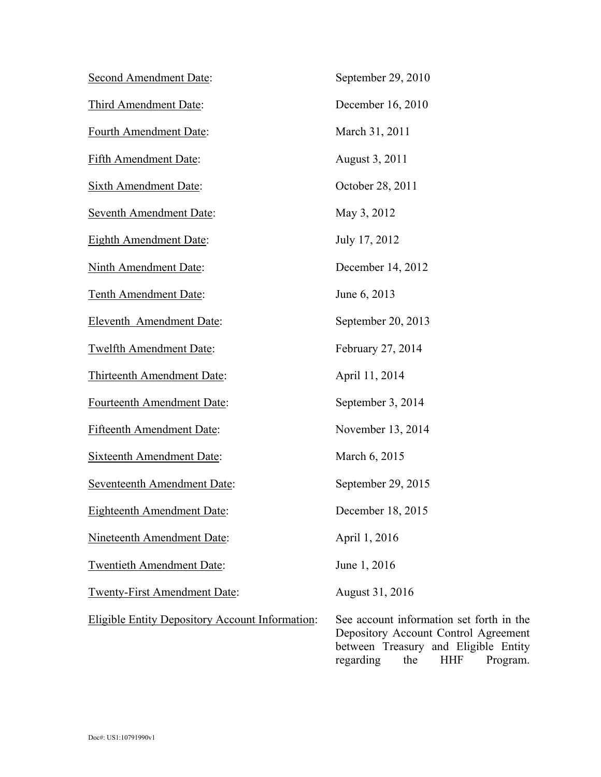| <b>Second Amendment Date:</b>                          | September 29, 2010                               |
|--------------------------------------------------------|--------------------------------------------------|
| Third Amendment Date:                                  | December 16, 2010                                |
| Fourth Amendment Date:                                 | March 31, 2011                                   |
| Fifth Amendment Date:                                  | August 3, 2011                                   |
| <b>Sixth Amendment Date:</b>                           | October 28, 2011                                 |
| <b>Seventh Amendment Date:</b>                         | May 3, 2012                                      |
| <b>Eighth Amendment Date:</b>                          | July 17, 2012                                    |
| Ninth Amendment Date:                                  | December 14, 2012                                |
| Tenth Amendment Date:                                  | June 6, 2013                                     |
| Eleventh Amendment Date:                               | September 20, 2013                               |
| Twelfth Amendment Date:                                | February 27, 2014                                |
| Thirteenth Amendment Date:                             | April 11, 2014                                   |
| Fourteenth Amendment Date:                             | September 3, 2014                                |
| Fifteenth Amendment Date:                              | November 13, 2014                                |
| <b>Sixteenth Amendment Date:</b>                       | March 6, 2015                                    |
| Seventeenth Amendment Date:                            | September 29, 2015                               |
| Eighteenth Amendment Date:                             | December 18, 2015                                |
| Nineteenth Amendment Date:                             | April 1, 2016                                    |
| <b>Twentieth Amendment Date:</b>                       | June 1, 2016                                     |
| <b>Twenty-First Amendment Date:</b>                    | August 31, 2016                                  |
| <b>Eligible Entity Depository Account Information:</b> | See account information<br>Depository Account Co |

on set forth in the Depository Account Control Agreement between Treasury and Eligible Entity regarding the HHF Program.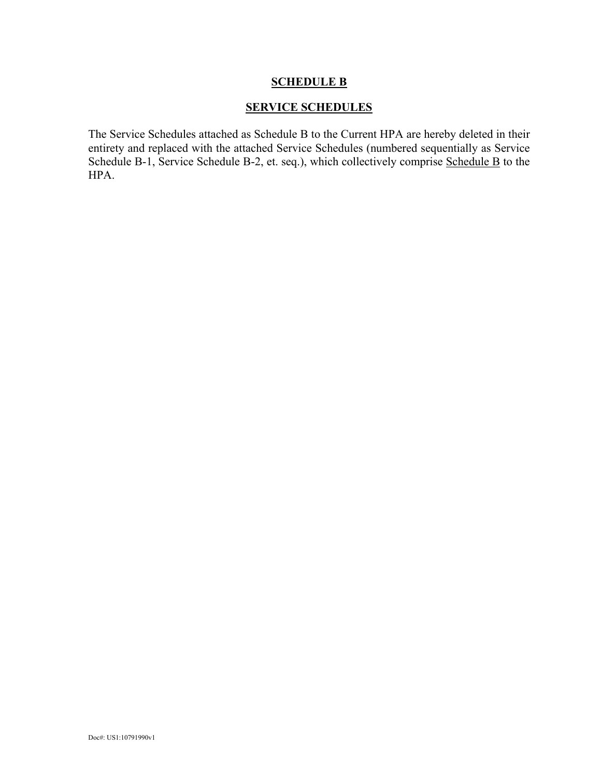#### **SERVICE SCHEDULES**

The Service Schedules attached as Schedule B to the Current HPA are hereby deleted in their entirety and replaced with the attached Service Schedules (numbered sequentially as Service Schedule B-1, Service Schedule B-2, et. seq.), which collectively comprise Schedule B to the HPA.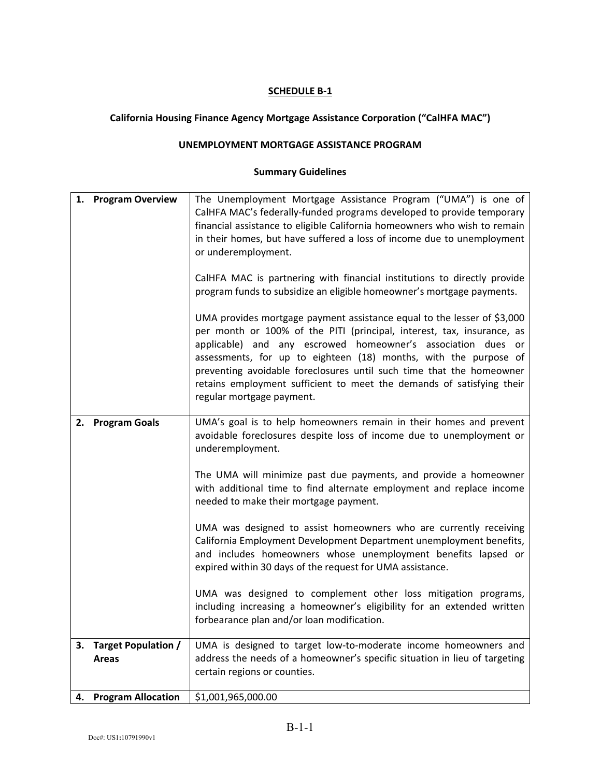# **California Housing Finance Agency Mortgage Assistance Corporation ("CalHFA MAC")**

# **UNEMPLOYMENT MORTGAGE ASSISTANCE PROGRAM**

|    | 1. Program Overview                 | The Unemployment Mortgage Assistance Program ("UMA") is one of<br>CalHFA MAC's federally-funded programs developed to provide temporary<br>financial assistance to eligible California homeowners who wish to remain<br>in their homes, but have suffered a loss of income due to unemployment<br>or underemployment.<br>CalHFA MAC is partnering with financial institutions to directly provide<br>program funds to subsidize an eligible homeowner's mortgage payments.<br>UMA provides mortgage payment assistance equal to the lesser of \$3,000<br>per month or 100% of the PITI (principal, interest, tax, insurance, as<br>applicable) and any escrowed homeowner's association dues or<br>assessments, for up to eighteen (18) months, with the purpose of<br>preventing avoidable foreclosures until such time that the homeowner<br>retains employment sufficient to meet the demands of satisfying their<br>regular mortgage payment. |
|----|-------------------------------------|---------------------------------------------------------------------------------------------------------------------------------------------------------------------------------------------------------------------------------------------------------------------------------------------------------------------------------------------------------------------------------------------------------------------------------------------------------------------------------------------------------------------------------------------------------------------------------------------------------------------------------------------------------------------------------------------------------------------------------------------------------------------------------------------------------------------------------------------------------------------------------------------------------------------------------------------------|
| 2. | <b>Program Goals</b>                | UMA's goal is to help homeowners remain in their homes and prevent<br>avoidable foreclosures despite loss of income due to unemployment or<br>underemployment.<br>The UMA will minimize past due payments, and provide a homeowner<br>with additional time to find alternate employment and replace income<br>needed to make their mortgage payment.<br>UMA was designed to assist homeowners who are currently receiving<br>California Employment Development Department unemployment benefits,<br>and includes homeowners whose unemployment benefits lapsed or<br>expired within 30 days of the request for UMA assistance.<br>UMA was designed to complement other loss mitigation programs,<br>including increasing a homeowner's eligibility for an extended written<br>forbearance plan and/or loan modification.                                                                                                                          |
| 3. | Target Population /<br><b>Areas</b> | UMA is designed to target low-to-moderate income homeowners and<br>address the needs of a homeowner's specific situation in lieu of targeting<br>certain regions or counties.                                                                                                                                                                                                                                                                                                                                                                                                                                                                                                                                                                                                                                                                                                                                                                     |
| 4. | <b>Program Allocation</b>           | \$1,001,965,000.00                                                                                                                                                                                                                                                                                                                                                                                                                                                                                                                                                                                                                                                                                                                                                                                                                                                                                                                                |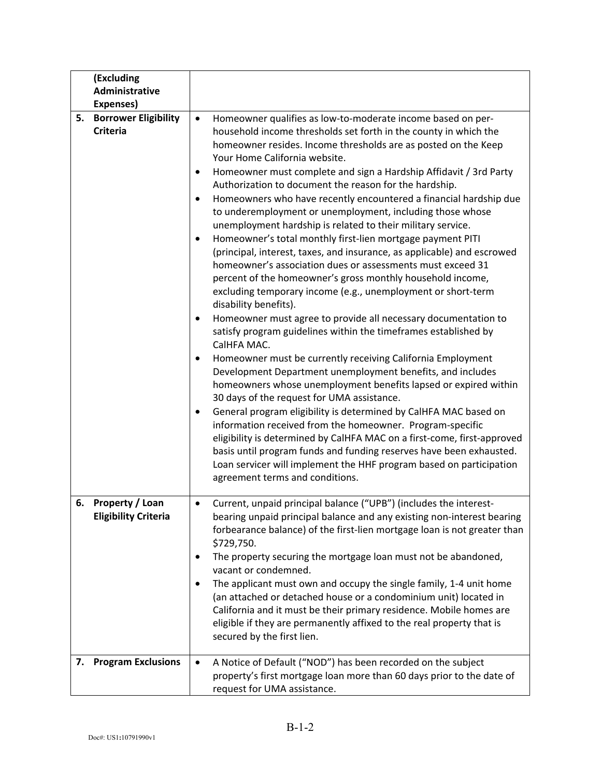| (Excluding<br>Administrative                         |                                                                                                                                                                                                                                                                                                                                                                                                                                                                                                                                                                                                                                                                                                                                                                                                                                                                                                                                                                                                                                                                                                                                                                                                                                                                                                                                                                                                                                                                                                                                                                                                                                                                                                                                                                          |
|------------------------------------------------------|--------------------------------------------------------------------------------------------------------------------------------------------------------------------------------------------------------------------------------------------------------------------------------------------------------------------------------------------------------------------------------------------------------------------------------------------------------------------------------------------------------------------------------------------------------------------------------------------------------------------------------------------------------------------------------------------------------------------------------------------------------------------------------------------------------------------------------------------------------------------------------------------------------------------------------------------------------------------------------------------------------------------------------------------------------------------------------------------------------------------------------------------------------------------------------------------------------------------------------------------------------------------------------------------------------------------------------------------------------------------------------------------------------------------------------------------------------------------------------------------------------------------------------------------------------------------------------------------------------------------------------------------------------------------------------------------------------------------------------------------------------------------------|
| Expenses)                                            |                                                                                                                                                                                                                                                                                                                                                                                                                                                                                                                                                                                                                                                                                                                                                                                                                                                                                                                                                                                                                                                                                                                                                                                                                                                                                                                                                                                                                                                                                                                                                                                                                                                                                                                                                                          |
| <b>Borrower Eligibility</b><br>5.<br><b>Criteria</b> | Homeowner qualifies as low-to-moderate income based on per-<br>$\bullet$<br>household income thresholds set forth in the county in which the<br>homeowner resides. Income thresholds are as posted on the Keep<br>Your Home California website.<br>Homeowner must complete and sign a Hardship Affidavit / 3rd Party<br>Authorization to document the reason for the hardship.<br>Homeowners who have recently encountered a financial hardship due<br>to underemployment or unemployment, including those whose<br>unemployment hardship is related to their military service.<br>Homeowner's total monthly first-lien mortgage payment PITI<br>$\bullet$<br>(principal, interest, taxes, and insurance, as applicable) and escrowed<br>homeowner's association dues or assessments must exceed 31<br>percent of the homeowner's gross monthly household income,<br>excluding temporary income (e.g., unemployment or short-term<br>disability benefits).<br>Homeowner must agree to provide all necessary documentation to<br>٠<br>satisfy program guidelines within the timeframes established by<br>CalHFA MAC.<br>Homeowner must be currently receiving California Employment<br>٠<br>Development Department unemployment benefits, and includes<br>homeowners whose unemployment benefits lapsed or expired within<br>30 days of the request for UMA assistance.<br>General program eligibility is determined by CalHFA MAC based on<br>٠<br>information received from the homeowner. Program-specific<br>eligibility is determined by CalHFA MAC on a first-come, first-approved<br>basis until program funds and funding reserves have been exhausted.<br>Loan servicer will implement the HHF program based on participation<br>agreement terms and conditions. |
| 6. Property / Loan<br><b>Eligibility Criteria</b>    | Current, unpaid principal balance ("UPB") (includes the interest-<br>bearing unpaid principal balance and any existing non-interest bearing<br>forbearance balance) of the first-lien mortgage loan is not greater than<br>\$729,750.<br>The property securing the mortgage loan must not be abandoned,<br>vacant or condemned.<br>The applicant must own and occupy the single family, 1-4 unit home<br>(an attached or detached house or a condominium unit) located in<br>California and it must be their primary residence. Mobile homes are<br>eligible if they are permanently affixed to the real property that is<br>secured by the first lien.                                                                                                                                                                                                                                                                                                                                                                                                                                                                                                                                                                                                                                                                                                                                                                                                                                                                                                                                                                                                                                                                                                                  |
| <b>Program Exclusions</b><br>7.                      | A Notice of Default ("NOD") has been recorded on the subject<br>$\bullet$<br>property's first mortgage loan more than 60 days prior to the date of<br>request for UMA assistance.                                                                                                                                                                                                                                                                                                                                                                                                                                                                                                                                                                                                                                                                                                                                                                                                                                                                                                                                                                                                                                                                                                                                                                                                                                                                                                                                                                                                                                                                                                                                                                                        |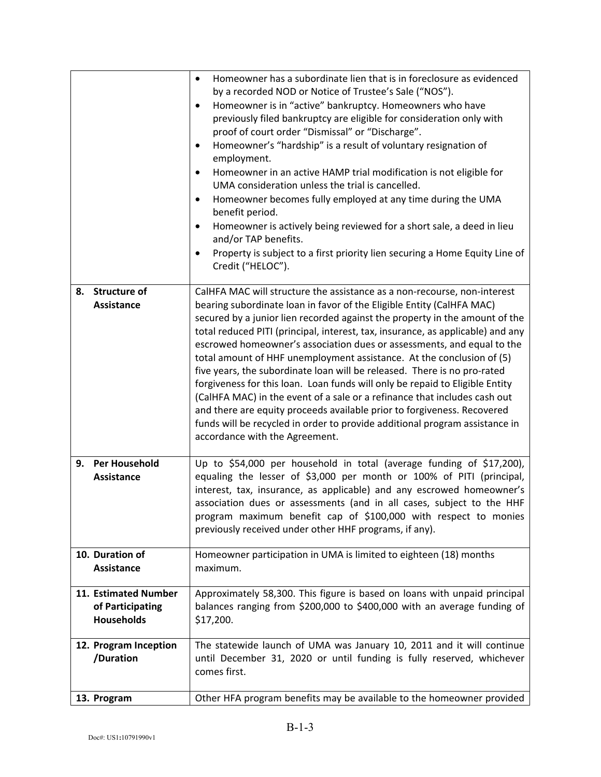|    |                                                               | Homeowner has a subordinate lien that is in foreclosure as evidenced<br>$\bullet$<br>by a recorded NOD or Notice of Trustee's Sale ("NOS").<br>Homeowner is in "active" bankruptcy. Homeowners who have<br>$\bullet$<br>previously filed bankruptcy are eligible for consideration only with<br>proof of court order "Dismissal" or "Discharge".<br>Homeowner's "hardship" is a result of voluntary resignation of<br>employment.<br>Homeowner in an active HAMP trial modification is not eligible for<br>UMA consideration unless the trial is cancelled.<br>Homeowner becomes fully employed at any time during the UMA                                                                                                                                                                                                                                                                                  |
|----|---------------------------------------------------------------|-------------------------------------------------------------------------------------------------------------------------------------------------------------------------------------------------------------------------------------------------------------------------------------------------------------------------------------------------------------------------------------------------------------------------------------------------------------------------------------------------------------------------------------------------------------------------------------------------------------------------------------------------------------------------------------------------------------------------------------------------------------------------------------------------------------------------------------------------------------------------------------------------------------|
|    |                                                               | benefit period.<br>Homeowner is actively being reviewed for a short sale, a deed in lieu<br>and/or TAP benefits.                                                                                                                                                                                                                                                                                                                                                                                                                                                                                                                                                                                                                                                                                                                                                                                            |
|    |                                                               | Property is subject to a first priority lien securing a Home Equity Line of<br>Credit ("HELOC").                                                                                                                                                                                                                                                                                                                                                                                                                                                                                                                                                                                                                                                                                                                                                                                                            |
|    | 8. Structure of<br><b>Assistance</b>                          | CalHFA MAC will structure the assistance as a non-recourse, non-interest<br>bearing subordinate loan in favor of the Eligible Entity (CalHFA MAC)<br>secured by a junior lien recorded against the property in the amount of the<br>total reduced PITI (principal, interest, tax, insurance, as applicable) and any<br>escrowed homeowner's association dues or assessments, and equal to the<br>total amount of HHF unemployment assistance. At the conclusion of (5)<br>five years, the subordinate loan will be released. There is no pro-rated<br>forgiveness for this loan. Loan funds will only be repaid to Eligible Entity<br>(CalHFA MAC) in the event of a sale or a refinance that includes cash out<br>and there are equity proceeds available prior to forgiveness. Recovered<br>funds will be recycled in order to provide additional program assistance in<br>accordance with the Agreement. |
| 9. | <b>Per Household</b><br><b>Assistance</b>                     | Up to \$54,000 per household in total (average funding of \$17,200),<br>equaling the lesser of \$3,000 per month or 100% of PITI (principal,<br>interest, tax, insurance, as applicable) and any escrowed homeowner's<br>association dues or assessments (and in all cases, subject to the HHF<br>program maximum benefit cap of \$100,000 with respect to monies<br>previously received under other HHF programs, if any).                                                                                                                                                                                                                                                                                                                                                                                                                                                                                 |
|    | 10. Duration of<br>Assistance                                 | Homeowner participation in UMA is limited to eighteen (18) months<br>maximum.                                                                                                                                                                                                                                                                                                                                                                                                                                                                                                                                                                                                                                                                                                                                                                                                                               |
|    | 11. Estimated Number<br>of Participating<br><b>Households</b> | Approximately 58,300. This figure is based on loans with unpaid principal<br>balances ranging from \$200,000 to \$400,000 with an average funding of<br>\$17,200.                                                                                                                                                                                                                                                                                                                                                                                                                                                                                                                                                                                                                                                                                                                                           |
|    | 12. Program Inception<br>/Duration                            | The statewide launch of UMA was January 10, 2011 and it will continue<br>until December 31, 2020 or until funding is fully reserved, whichever<br>comes first.                                                                                                                                                                                                                                                                                                                                                                                                                                                                                                                                                                                                                                                                                                                                              |
|    | 13. Program                                                   | Other HFA program benefits may be available to the homeowner provided                                                                                                                                                                                                                                                                                                                                                                                                                                                                                                                                                                                                                                                                                                                                                                                                                                       |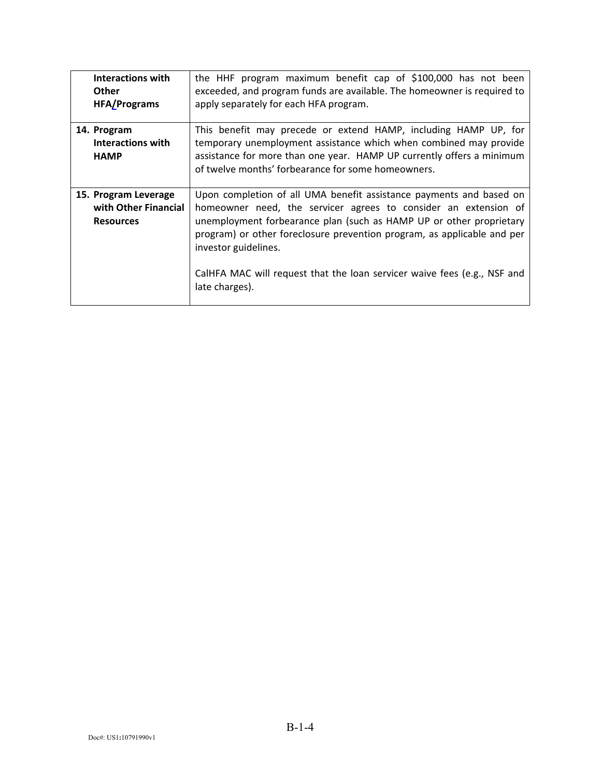| <b>Interactions with</b><br><b>Other</b><br><b>HFA/Programs</b>  | the HHF program maximum benefit cap of \$100,000 has not been<br>exceeded, and program funds are available. The homeowner is required to<br>apply separately for each HFA program.                                                                                                                                                                                                                             |
|------------------------------------------------------------------|----------------------------------------------------------------------------------------------------------------------------------------------------------------------------------------------------------------------------------------------------------------------------------------------------------------------------------------------------------------------------------------------------------------|
| 14. Program<br>Interactions with<br><b>HAMP</b>                  | This benefit may precede or extend HAMP, including HAMP UP, for<br>temporary unemployment assistance which when combined may provide<br>assistance for more than one year. HAMP UP currently offers a minimum<br>of twelve months' forbearance for some homeowners.                                                                                                                                            |
| 15. Program Leverage<br>with Other Financial<br><b>Resources</b> | Upon completion of all UMA benefit assistance payments and based on<br>homeowner need, the servicer agrees to consider an extension of<br>unemployment forbearance plan (such as HAMP UP or other proprietary<br>program) or other foreclosure prevention program, as applicable and per<br>investor guidelines.<br>CalHFA MAC will request that the loan servicer waive fees (e.g., NSF and<br>late charges). |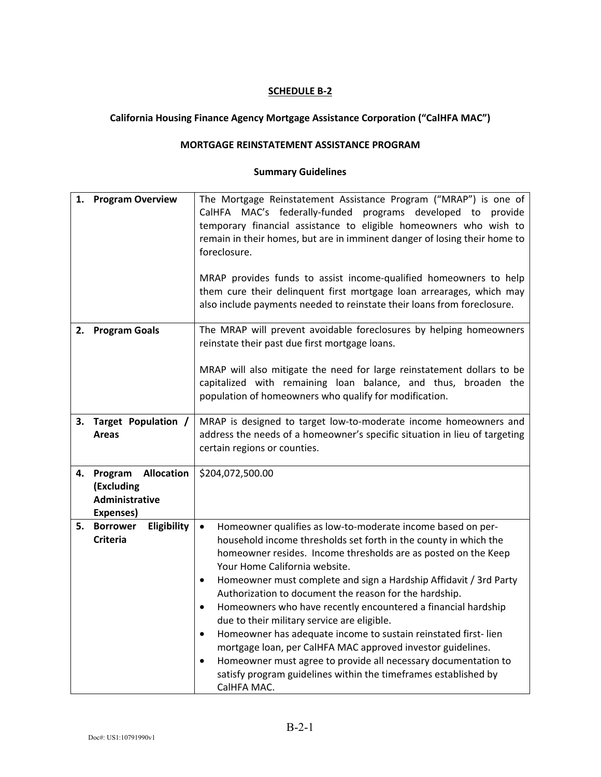# **California Housing Finance Agency Mortgage Assistance Corporation ("CalHFA MAC")**

#### **MORTGAGE REINSTATEMENT ASSISTANCE PROGRAM**

| 1. | <b>Program Overview</b>                                                   | The Mortgage Reinstatement Assistance Program ("MRAP") is one of<br>CalHFA MAC's federally-funded programs developed to provide<br>temporary financial assistance to eligible homeowners who wish to<br>remain in their homes, but are in imminent danger of losing their home to<br>foreclosure.<br>MRAP provides funds to assist income-qualified homeowners to help<br>them cure their delinquent first mortgage loan arrearages, which may<br>also include payments needed to reinstate their loans from foreclosure.                                                                                                                                                                                                                                                                                                               |
|----|---------------------------------------------------------------------------|-----------------------------------------------------------------------------------------------------------------------------------------------------------------------------------------------------------------------------------------------------------------------------------------------------------------------------------------------------------------------------------------------------------------------------------------------------------------------------------------------------------------------------------------------------------------------------------------------------------------------------------------------------------------------------------------------------------------------------------------------------------------------------------------------------------------------------------------|
| 2. | <b>Program Goals</b>                                                      | The MRAP will prevent avoidable foreclosures by helping homeowners<br>reinstate their past due first mortgage loans.<br>MRAP will also mitigate the need for large reinstatement dollars to be<br>capitalized with remaining loan balance, and thus, broaden the<br>population of homeowners who qualify for modification.                                                                                                                                                                                                                                                                                                                                                                                                                                                                                                              |
| 3. | Target Population /<br><b>Areas</b>                                       | MRAP is designed to target low-to-moderate income homeowners and<br>address the needs of a homeowner's specific situation in lieu of targeting<br>certain regions or counties.                                                                                                                                                                                                                                                                                                                                                                                                                                                                                                                                                                                                                                                          |
| 4. | <b>Allocation</b><br>Program<br>(Excluding<br>Administrative<br>Expenses) | \$204,072,500.00                                                                                                                                                                                                                                                                                                                                                                                                                                                                                                                                                                                                                                                                                                                                                                                                                        |
| 5. | <b>Borrower</b><br>Eligibility<br><b>Criteria</b>                         | Homeowner qualifies as low-to-moderate income based on per-<br>$\bullet$<br>household income thresholds set forth in the county in which the<br>homeowner resides. Income thresholds are as posted on the Keep<br>Your Home California website.<br>Homeowner must complete and sign a Hardship Affidavit / 3rd Party<br>$\bullet$<br>Authorization to document the reason for the hardship.<br>Homeowners who have recently encountered a financial hardship<br>$\bullet$<br>due to their military service are eligible.<br>Homeowner has adequate income to sustain reinstated first-lien<br>$\bullet$<br>mortgage loan, per CalHFA MAC approved investor guidelines.<br>Homeowner must agree to provide all necessary documentation to<br>$\bullet$<br>satisfy program guidelines within the timeframes established by<br>CalHFA MAC. |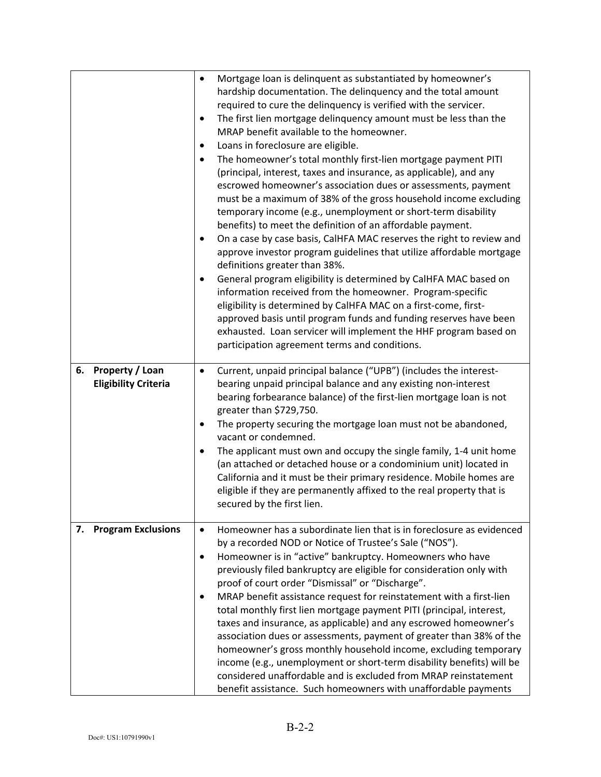|                                                             | $\bullet$<br>$\bullet$<br>$\bullet$<br>$\bullet$<br>$\bullet$<br>٠ | Mortgage Ioan is delinquent as substantiated by homeowner's<br>hardship documentation. The delinguency and the total amount<br>required to cure the delinquency is verified with the servicer.<br>The first lien mortgage delinquency amount must be less than the<br>MRAP benefit available to the homeowner.<br>Loans in foreclosure are eligible.<br>The homeowner's total monthly first-lien mortgage payment PITI<br>(principal, interest, taxes and insurance, as applicable), and any<br>escrowed homeowner's association dues or assessments, payment<br>must be a maximum of 38% of the gross household income excluding<br>temporary income (e.g., unemployment or short-term disability<br>benefits) to meet the definition of an affordable payment.<br>On a case by case basis, CalHFA MAC reserves the right to review and<br>approve investor program guidelines that utilize affordable mortgage<br>definitions greater than 38%.<br>General program eligibility is determined by CalHFA MAC based on<br>information received from the homeowner. Program-specific<br>eligibility is determined by CalHFA MAC on a first-come, first-<br>approved basis until program funds and funding reserves have been<br>exhausted. Loan servicer will implement the HHF program based on<br>participation agreement terms and conditions. |
|-------------------------------------------------------------|--------------------------------------------------------------------|-------------------------------------------------------------------------------------------------------------------------------------------------------------------------------------------------------------------------------------------------------------------------------------------------------------------------------------------------------------------------------------------------------------------------------------------------------------------------------------------------------------------------------------------------------------------------------------------------------------------------------------------------------------------------------------------------------------------------------------------------------------------------------------------------------------------------------------------------------------------------------------------------------------------------------------------------------------------------------------------------------------------------------------------------------------------------------------------------------------------------------------------------------------------------------------------------------------------------------------------------------------------------------------------------------------------------------------------------|
| <b>Property / Loan</b><br>6.<br><b>Eligibility Criteria</b> | $\bullet$<br>$\bullet$<br>$\bullet$                                | Current, unpaid principal balance ("UPB") (includes the interest-<br>bearing unpaid principal balance and any existing non-interest<br>bearing forbearance balance) of the first-lien mortgage loan is not<br>greater than \$729,750.<br>The property securing the mortgage loan must not be abandoned,<br>vacant or condemned.<br>The applicant must own and occupy the single family, 1-4 unit home<br>(an attached or detached house or a condominium unit) located in<br>California and it must be their primary residence. Mobile homes are<br>eligible if they are permanently affixed to the real property that is<br>secured by the first lien.                                                                                                                                                                                                                                                                                                                                                                                                                                                                                                                                                                                                                                                                                         |
| 7. Program Exclusions                                       | $\bullet$<br>$\bullet$<br>٠                                        | Homeowner has a subordinate lien that is in foreclosure as evidenced<br>by a recorded NOD or Notice of Trustee's Sale ("NOS").<br>Homeowner is in "active" bankruptcy. Homeowners who have<br>previously filed bankruptcy are eligible for consideration only with<br>proof of court order "Dismissal" or "Discharge".<br>MRAP benefit assistance request for reinstatement with a first-lien<br>total monthly first lien mortgage payment PITI (principal, interest,<br>taxes and insurance, as applicable) and any escrowed homeowner's<br>association dues or assessments, payment of greater than 38% of the<br>homeowner's gross monthly household income, excluding temporary<br>income (e.g., unemployment or short-term disability benefits) will be<br>considered unaffordable and is excluded from MRAP reinstatement<br>benefit assistance. Such homeowners with unaffordable payments                                                                                                                                                                                                                                                                                                                                                                                                                                               |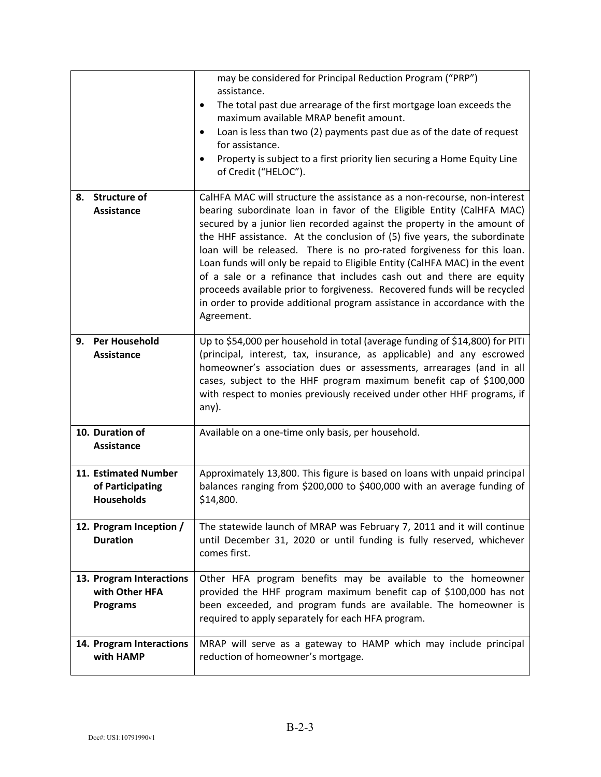|                                                               | may be considered for Principal Reduction Program ("PRP")<br>assistance.<br>The total past due arrearage of the first mortgage loan exceeds the<br>٠<br>maximum available MRAP benefit amount.<br>Loan is less than two (2) payments past due as of the date of request<br>$\bullet$<br>for assistance.<br>Property is subject to a first priority lien securing a Home Equity Line<br>of Credit ("HELOC").                                                                                                                                                                                                                                                                                                       |
|---------------------------------------------------------------|-------------------------------------------------------------------------------------------------------------------------------------------------------------------------------------------------------------------------------------------------------------------------------------------------------------------------------------------------------------------------------------------------------------------------------------------------------------------------------------------------------------------------------------------------------------------------------------------------------------------------------------------------------------------------------------------------------------------|
| <b>Structure of</b><br>8.<br><b>Assistance</b>                | CalHFA MAC will structure the assistance as a non-recourse, non-interest<br>bearing subordinate loan in favor of the Eligible Entity (CalHFA MAC)<br>secured by a junior lien recorded against the property in the amount of<br>the HHF assistance. At the conclusion of (5) five years, the subordinate<br>loan will be released. There is no pro-rated forgiveness for this loan.<br>Loan funds will only be repaid to Eligible Entity (CalHFA MAC) in the event<br>of a sale or a refinance that includes cash out and there are equity<br>proceeds available prior to forgiveness. Recovered funds will be recycled<br>in order to provide additional program assistance in accordance with the<br>Agreement. |
| <b>Per Household</b><br>9.<br><b>Assistance</b>               | Up to \$54,000 per household in total (average funding of \$14,800) for PITI<br>(principal, interest, tax, insurance, as applicable) and any escrowed<br>homeowner's association dues or assessments, arrearages (and in all<br>cases, subject to the HHF program maximum benefit cap of \$100,000<br>with respect to monies previously received under other HHF programs, if<br>any).                                                                                                                                                                                                                                                                                                                            |
| 10. Duration of<br><b>Assistance</b>                          | Available on a one-time only basis, per household.                                                                                                                                                                                                                                                                                                                                                                                                                                                                                                                                                                                                                                                                |
| 11. Estimated Number<br>of Participating<br><b>Households</b> | Approximately 13,800. This figure is based on loans with unpaid principal<br>balances ranging from \$200,000 to \$400,000 with an average funding of<br>\$14,800.                                                                                                                                                                                                                                                                                                                                                                                                                                                                                                                                                 |
| 12. Program Inception /<br><b>Duration</b>                    | The statewide launch of MRAP was February 7, 2011 and it will continue<br>until December 31, 2020 or until funding is fully reserved, whichever<br>comes first.                                                                                                                                                                                                                                                                                                                                                                                                                                                                                                                                                   |
| 13. Program Interactions<br>with Other HFA<br><b>Programs</b> | Other HFA program benefits may be available to the homeowner<br>provided the HHF program maximum benefit cap of \$100,000 has not<br>been exceeded, and program funds are available. The homeowner is<br>required to apply separately for each HFA program.                                                                                                                                                                                                                                                                                                                                                                                                                                                       |
| 14. Program Interactions<br>with HAMP                         | MRAP will serve as a gateway to HAMP which may include principal<br>reduction of homeowner's mortgage.                                                                                                                                                                                                                                                                                                                                                                                                                                                                                                                                                                                                            |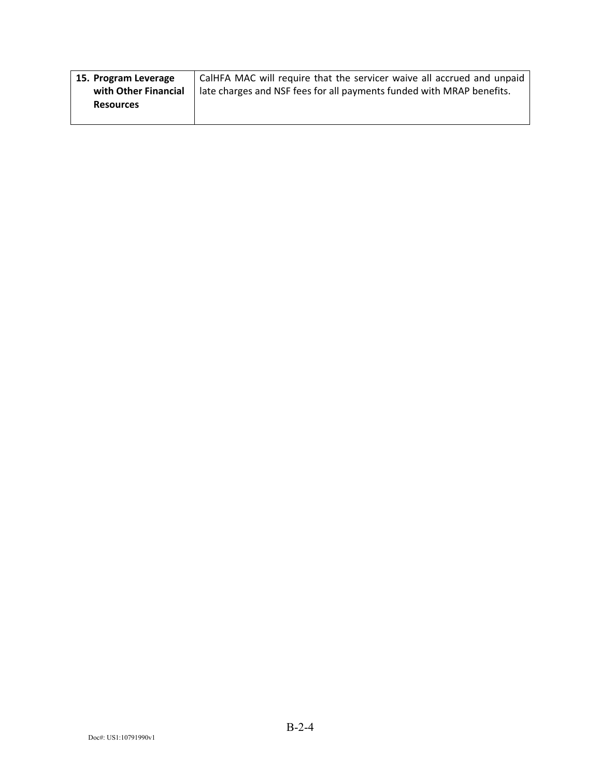| 15. Program Leverage | CalHFA MAC will require that the servicer waive all accrued and unpaid |
|----------------------|------------------------------------------------------------------------|
| with Other Financial | late charges and NSF fees for all payments funded with MRAP benefits.  |
| <b>Resources</b>     |                                                                        |
|                      |                                                                        |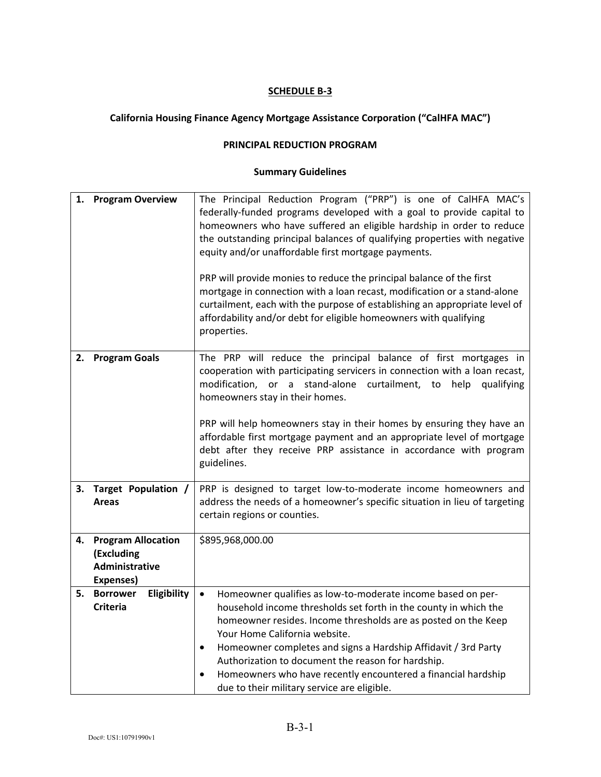# **California Housing Finance Agency Mortgage Assistance Corporation ("CalHFA MAC")**

#### **PRINCIPAL REDUCTION PROGRAM**

| 1. | <b>Program Overview</b>                                                | The Principal Reduction Program ("PRP") is one of CalHFA MAC's<br>federally-funded programs developed with a goal to provide capital to<br>homeowners who have suffered an eligible hardship in order to reduce<br>the outstanding principal balances of qualifying properties with negative<br>equity and/or unaffordable first mortgage payments.<br>PRP will provide monies to reduce the principal balance of the first<br>mortgage in connection with a loan recast, modification or a stand-alone<br>curtailment, each with the purpose of establishing an appropriate level of<br>affordability and/or debt for eligible homeowners with qualifying<br>properties. |
|----|------------------------------------------------------------------------|---------------------------------------------------------------------------------------------------------------------------------------------------------------------------------------------------------------------------------------------------------------------------------------------------------------------------------------------------------------------------------------------------------------------------------------------------------------------------------------------------------------------------------------------------------------------------------------------------------------------------------------------------------------------------|
| 2. | <b>Program Goals</b>                                                   | The PRP will reduce the principal balance of first mortgages in<br>cooperation with participating servicers in connection with a loan recast,<br>modification, or a stand-alone curtailment, to help qualifying<br>homeowners stay in their homes.<br>PRP will help homeowners stay in their homes by ensuring they have an<br>affordable first mortgage payment and an appropriate level of mortgage<br>debt after they receive PRP assistance in accordance with program<br>guidelines.                                                                                                                                                                                 |
| 3. | Target Population /<br><b>Areas</b>                                    | PRP is designed to target low-to-moderate income homeowners and<br>address the needs of a homeowner's specific situation in lieu of targeting<br>certain regions or counties.                                                                                                                                                                                                                                                                                                                                                                                                                                                                                             |
| 4. | <b>Program Allocation</b><br>(Excluding<br>Administrative<br>Expenses) | \$895,968,000.00                                                                                                                                                                                                                                                                                                                                                                                                                                                                                                                                                                                                                                                          |
| 5. | <b>Borrower</b><br>Eligibility<br><b>Criteria</b>                      | Homeowner qualifies as low-to-moderate income based on per-<br>$\bullet$<br>household income thresholds set forth in the county in which the<br>homeowner resides. Income thresholds are as posted on the Keep<br>Your Home California website.<br>Homeowner completes and signs a Hardship Affidavit / 3rd Party<br>$\bullet$<br>Authorization to document the reason for hardship.<br>Homeowners who have recently encountered a financial hardship<br>due to their military service are eligible.                                                                                                                                                                      |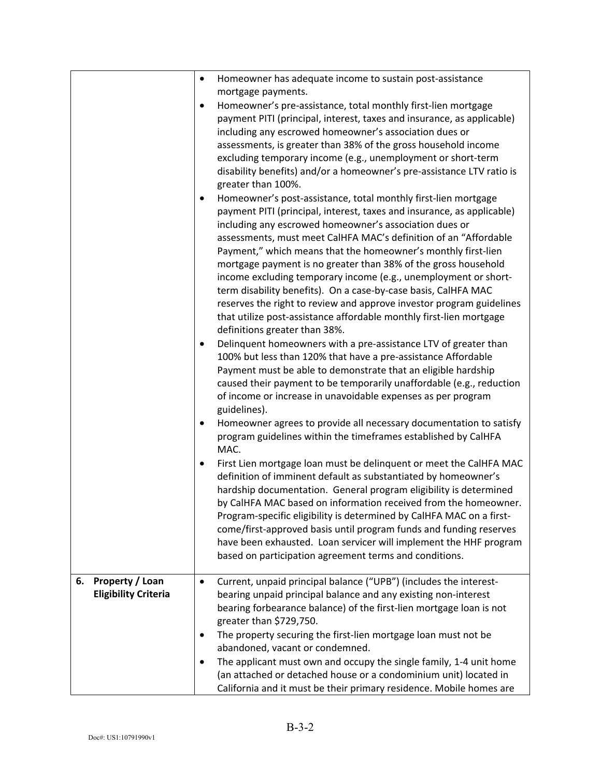|                                                      | Homeowner has adequate income to sustain post-assistance<br>$\bullet$<br>mortgage payments.<br>Homeowner's pre-assistance, total monthly first-lien mortgage<br>$\bullet$<br>payment PITI (principal, interest, taxes and insurance, as applicable)<br>including any escrowed homeowner's association dues or<br>assessments, is greater than 38% of the gross household income<br>excluding temporary income (e.g., unemployment or short-term<br>disability benefits) and/or a homeowner's pre-assistance LTV ratio is<br>greater than 100%.<br>Homeowner's post-assistance, total monthly first-lien mortgage<br>$\bullet$<br>payment PITI (principal, interest, taxes and insurance, as applicable)<br>including any escrowed homeowner's association dues or<br>assessments, must meet CalHFA MAC's definition of an "Affordable<br>Payment," which means that the homeowner's monthly first-lien<br>mortgage payment is no greater than 38% of the gross household<br>income excluding temporary income (e.g., unemployment or short-<br>term disability benefits). On a case-by-case basis, CalHFA MAC<br>reserves the right to review and approve investor program guidelines<br>that utilize post-assistance affordable monthly first-lien mortgage<br>definitions greater than 38%.<br>Delinquent homeowners with a pre-assistance LTV of greater than<br>٠<br>100% but less than 120% that have a pre-assistance Affordable<br>Payment must be able to demonstrate that an eligible hardship<br>caused their payment to be temporarily unaffordable (e.g., reduction<br>of income or increase in unavoidable expenses as per program<br>guidelines). |
|------------------------------------------------------|-----------------------------------------------------------------------------------------------------------------------------------------------------------------------------------------------------------------------------------------------------------------------------------------------------------------------------------------------------------------------------------------------------------------------------------------------------------------------------------------------------------------------------------------------------------------------------------------------------------------------------------------------------------------------------------------------------------------------------------------------------------------------------------------------------------------------------------------------------------------------------------------------------------------------------------------------------------------------------------------------------------------------------------------------------------------------------------------------------------------------------------------------------------------------------------------------------------------------------------------------------------------------------------------------------------------------------------------------------------------------------------------------------------------------------------------------------------------------------------------------------------------------------------------------------------------------------------------------------------------------------------------------------------------|
|                                                      | MAC.<br>First Lien mortgage loan must be delinquent or meet the CalHFA MAC<br>$\bullet$<br>definition of imminent default as substantiated by homeowner's<br>hardship documentation. General program eligibility is determined<br>by CalHFA MAC based on information received from the homeowner.<br>Program-specific eligibility is determined by CalHFA MAC on a first-<br>come/first-approved basis until program funds and funding reserves<br>have been exhausted. Loan servicer will implement the HHF program<br>based on participation agreement terms and conditions.                                                                                                                                                                                                                                                                                                                                                                                                                                                                                                                                                                                                                                                                                                                                                                                                                                                                                                                                                                                                                                                                                  |
| Property / Loan<br>6.<br><b>Eligibility Criteria</b> | Current, unpaid principal balance ("UPB") (includes the interest-<br>$\bullet$<br>bearing unpaid principal balance and any existing non-interest<br>bearing forbearance balance) of the first-lien mortgage loan is not<br>greater than \$729,750.<br>The property securing the first-lien mortgage loan must not be<br>٠<br>abandoned, vacant or condemned.<br>The applicant must own and occupy the single family, 1-4 unit home<br>(an attached or detached house or a condominium unit) located in                                                                                                                                                                                                                                                                                                                                                                                                                                                                                                                                                                                                                                                                                                                                                                                                                                                                                                                                                                                                                                                                                                                                                          |
|                                                      | California and it must be their primary residence. Mobile homes are                                                                                                                                                                                                                                                                                                                                                                                                                                                                                                                                                                                                                                                                                                                                                                                                                                                                                                                                                                                                                                                                                                                                                                                                                                                                                                                                                                                                                                                                                                                                                                                             |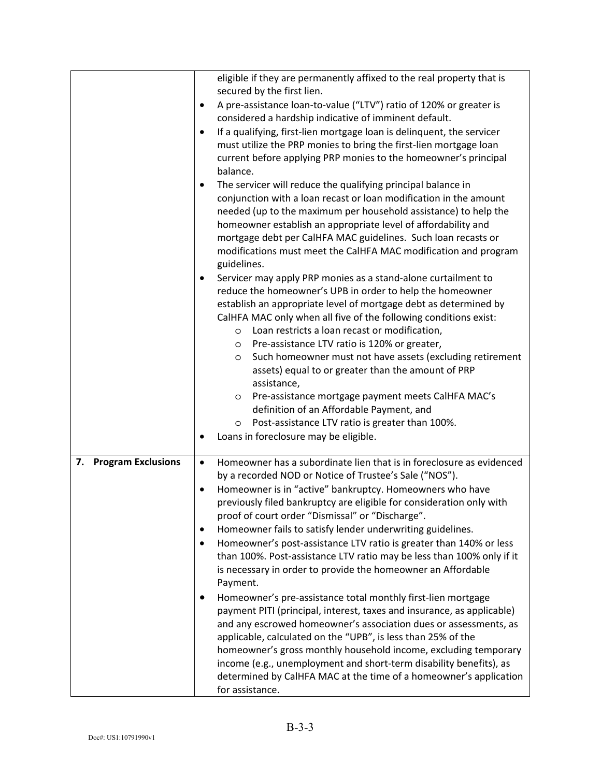|                                 | eligible if they are permanently affixed to the real property that is<br>secured by the first lien.<br>A pre-assistance loan-to-value ("LTV") ratio of 120% or greater is<br>$\bullet$<br>considered a hardship indicative of imminent default.<br>If a qualifying, first-lien mortgage loan is delinquent, the servicer<br>٠<br>must utilize the PRP monies to bring the first-lien mortgage loan<br>current before applying PRP monies to the homeowner's principal<br>balance.<br>The servicer will reduce the qualifying principal balance in<br>٠<br>conjunction with a loan recast or loan modification in the amount<br>needed (up to the maximum per household assistance) to help the<br>homeowner establish an appropriate level of affordability and<br>mortgage debt per CalHFA MAC guidelines. Such loan recasts or<br>modifications must meet the CalHFA MAC modification and program<br>guidelines.<br>Servicer may apply PRP monies as a stand-alone curtailment to<br>٠<br>reduce the homeowner's UPB in order to help the homeowner<br>establish an appropriate level of mortgage debt as determined by<br>CalHFA MAC only when all five of the following conditions exist:<br>Loan restricts a loan recast or modification,<br>O<br>Pre-assistance LTV ratio is 120% or greater,<br>$\circ$<br>Such homeowner must not have assets (excluding retirement<br>O |
|---------------------------------|----------------------------------------------------------------------------------------------------------------------------------------------------------------------------------------------------------------------------------------------------------------------------------------------------------------------------------------------------------------------------------------------------------------------------------------------------------------------------------------------------------------------------------------------------------------------------------------------------------------------------------------------------------------------------------------------------------------------------------------------------------------------------------------------------------------------------------------------------------------------------------------------------------------------------------------------------------------------------------------------------------------------------------------------------------------------------------------------------------------------------------------------------------------------------------------------------------------------------------------------------------------------------------------------------------------------------------------------------------------------------------|
|                                 | assets) equal to or greater than the amount of PRP<br>assistance,<br>Pre-assistance mortgage payment meets CalHFA MAC's<br>$\circ$<br>definition of an Affordable Payment, and                                                                                                                                                                                                                                                                                                                                                                                                                                                                                                                                                                                                                                                                                                                                                                                                                                                                                                                                                                                                                                                                                                                                                                                                   |
|                                 | Post-assistance LTV ratio is greater than 100%.<br>O<br>Loans in foreclosure may be eligible.                                                                                                                                                                                                                                                                                                                                                                                                                                                                                                                                                                                                                                                                                                                                                                                                                                                                                                                                                                                                                                                                                                                                                                                                                                                                                    |
| 7.<br><b>Program Exclusions</b> | Homeowner has a subordinate lien that is in foreclosure as evidenced<br>$\bullet$<br>by a recorded NOD or Notice of Trustee's Sale ("NOS").<br>Homeowner is in "active" bankruptcy. Homeowners who have<br>٠<br>previously filed bankruptcy are eligible for consideration only with<br>proof of court order "Dismissal" or "Discharge".                                                                                                                                                                                                                                                                                                                                                                                                                                                                                                                                                                                                                                                                                                                                                                                                                                                                                                                                                                                                                                         |
|                                 | Homeowner fails to satisfy lender underwriting guidelines.<br>٠<br>Homeowner's post-assistance LTV ratio is greater than 140% or less<br>$\bullet$<br>than 100%. Post-assistance LTV ratio may be less than 100% only if it<br>is necessary in order to provide the homeowner an Affordable<br>Payment.                                                                                                                                                                                                                                                                                                                                                                                                                                                                                                                                                                                                                                                                                                                                                                                                                                                                                                                                                                                                                                                                          |
|                                 | Homeowner's pre-assistance total monthly first-lien mortgage<br>$\bullet$<br>payment PITI (principal, interest, taxes and insurance, as applicable)<br>and any escrowed homeowner's association dues or assessments, as<br>applicable, calculated on the "UPB", is less than 25% of the<br>homeowner's gross monthly household income, excluding temporary<br>income (e.g., unemployment and short-term disability benefits), as<br>determined by CalHFA MAC at the time of a homeowner's application<br>for assistance.                                                                                                                                                                                                                                                                                                                                                                                                                                                                                                                                                                                                                                                                                                                                                                                                                                                         |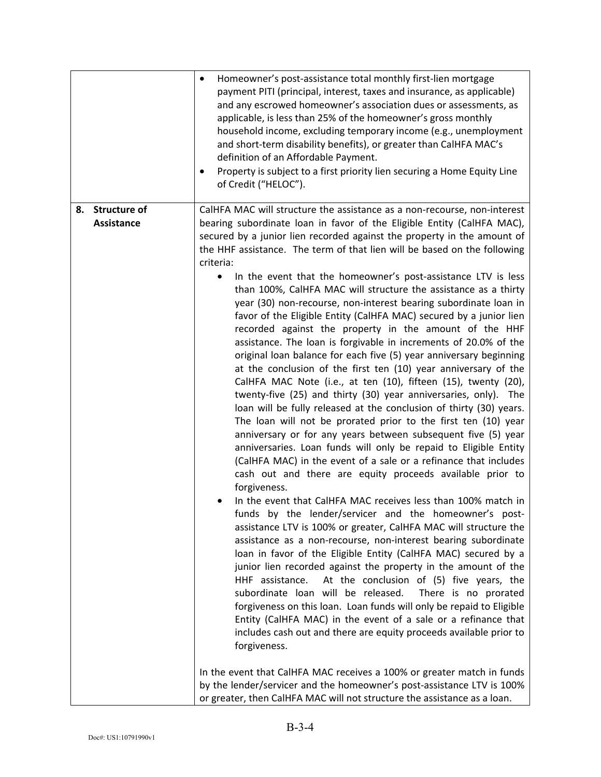|                   | Homeowner's post-assistance total monthly first-lien mortgage<br>$\bullet$<br>payment PITI (principal, interest, taxes and insurance, as applicable)<br>and any escrowed homeowner's association dues or assessments, as<br>applicable, is less than 25% of the homeowner's gross monthly<br>household income, excluding temporary income (e.g., unemployment<br>and short-term disability benefits), or greater than CalHFA MAC's<br>definition of an Affordable Payment.<br>Property is subject to a first priority lien securing a Home Equity Line<br>of Credit ("HELOC").                                                                                                                                                                                                                                                                                                                                                                                                                                                                                                                                                                                                                                                                                                                                                                                                                                                                                                                                                                                                                                                                                                                                                                                                                                                                                                                                                                                                                                                                                                                                                                     |
|-------------------|----------------------------------------------------------------------------------------------------------------------------------------------------------------------------------------------------------------------------------------------------------------------------------------------------------------------------------------------------------------------------------------------------------------------------------------------------------------------------------------------------------------------------------------------------------------------------------------------------------------------------------------------------------------------------------------------------------------------------------------------------------------------------------------------------------------------------------------------------------------------------------------------------------------------------------------------------------------------------------------------------------------------------------------------------------------------------------------------------------------------------------------------------------------------------------------------------------------------------------------------------------------------------------------------------------------------------------------------------------------------------------------------------------------------------------------------------------------------------------------------------------------------------------------------------------------------------------------------------------------------------------------------------------------------------------------------------------------------------------------------------------------------------------------------------------------------------------------------------------------------------------------------------------------------------------------------------------------------------------------------------------------------------------------------------------------------------------------------------------------------------------------------------|
| 8. Structure of   | CalHFA MAC will structure the assistance as a non-recourse, non-interest                                                                                                                                                                                                                                                                                                                                                                                                                                                                                                                                                                                                                                                                                                                                                                                                                                                                                                                                                                                                                                                                                                                                                                                                                                                                                                                                                                                                                                                                                                                                                                                                                                                                                                                                                                                                                                                                                                                                                                                                                                                                           |
| <b>Assistance</b> | bearing subordinate loan in favor of the Eligible Entity (CalHFA MAC),<br>secured by a junior lien recorded against the property in the amount of<br>the HHF assistance. The term of that lien will be based on the following<br>criteria:<br>In the event that the homeowner's post-assistance LTV is less<br>$\bullet$<br>than 100%, CalHFA MAC will structure the assistance as a thirty<br>year (30) non-recourse, non-interest bearing subordinate loan in<br>favor of the Eligible Entity (CalHFA MAC) secured by a junior lien<br>recorded against the property in the amount of the HHF<br>assistance. The loan is forgivable in increments of 20.0% of the<br>original loan balance for each five (5) year anniversary beginning<br>at the conclusion of the first ten (10) year anniversary of the<br>CalHFA MAC Note (i.e., at ten (10), fifteen (15), twenty (20),<br>twenty-five (25) and thirty (30) year anniversaries, only). The<br>loan will be fully released at the conclusion of thirty (30) years.<br>The loan will not be prorated prior to the first ten (10) year<br>anniversary or for any years between subsequent five (5) year<br>anniversaries. Loan funds will only be repaid to Eligible Entity<br>(CalHFA MAC) in the event of a sale or a refinance that includes<br>cash out and there are equity proceeds available prior to<br>forgiveness.<br>In the event that CalHFA MAC receives less than 100% match in<br>funds by the lender/servicer and the homeowner's post-<br>assistance LTV is 100% or greater, CalHFA MAC will structure the<br>assistance as a non-recourse, non-interest bearing subordinate<br>loan in favor of the Eligible Entity (CalHFA MAC) secured by a<br>junior lien recorded against the property in the amount of the<br>At the conclusion of (5) five years, the<br>HHF assistance.<br>subordinate loan will be released.<br>There is no prorated<br>forgiveness on this loan. Loan funds will only be repaid to Eligible<br>Entity (CalHFA MAC) in the event of a sale or a refinance that<br>includes cash out and there are equity proceeds available prior to<br>forgiveness. |
|                   | In the event that CalHFA MAC receives a 100% or greater match in funds<br>by the lender/servicer and the homeowner's post-assistance LTV is 100%<br>or greater, then CalHFA MAC will not structure the assistance as a loan.                                                                                                                                                                                                                                                                                                                                                                                                                                                                                                                                                                                                                                                                                                                                                                                                                                                                                                                                                                                                                                                                                                                                                                                                                                                                                                                                                                                                                                                                                                                                                                                                                                                                                                                                                                                                                                                                                                                       |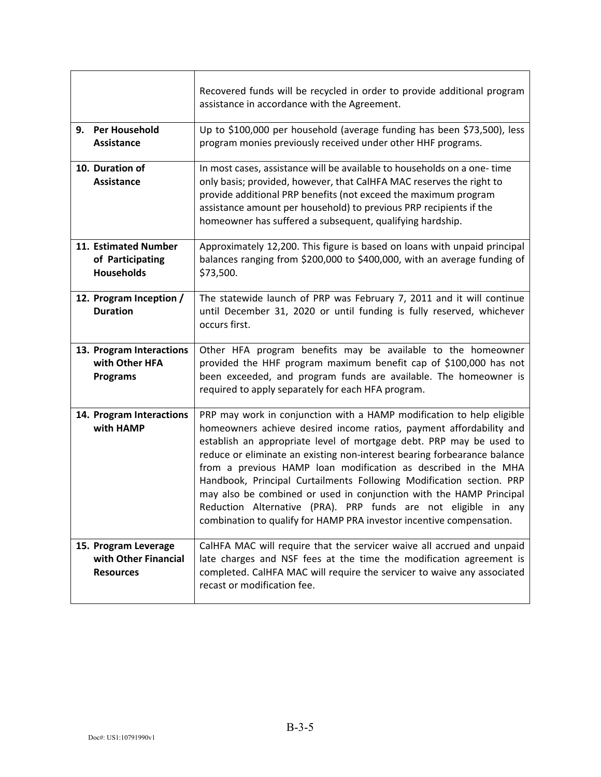|                                                                  | Recovered funds will be recycled in order to provide additional program<br>assistance in accordance with the Agreement.                                                                                                                                                                                                                                                                                                                                                                                                                                                                                                                                    |
|------------------------------------------------------------------|------------------------------------------------------------------------------------------------------------------------------------------------------------------------------------------------------------------------------------------------------------------------------------------------------------------------------------------------------------------------------------------------------------------------------------------------------------------------------------------------------------------------------------------------------------------------------------------------------------------------------------------------------------|
| 9. Per Household<br><b>Assistance</b>                            | Up to \$100,000 per household (average funding has been \$73,500), less<br>program monies previously received under other HHF programs.                                                                                                                                                                                                                                                                                                                                                                                                                                                                                                                    |
| 10. Duration of<br><b>Assistance</b>                             | In most cases, assistance will be available to households on a one-time<br>only basis; provided, however, that CalHFA MAC reserves the right to<br>provide additional PRP benefits (not exceed the maximum program<br>assistance amount per household) to previous PRP recipients if the<br>homeowner has suffered a subsequent, qualifying hardship.                                                                                                                                                                                                                                                                                                      |
| 11. Estimated Number<br>of Participating<br><b>Households</b>    | Approximately 12,200. This figure is based on loans with unpaid principal<br>balances ranging from \$200,000 to \$400,000, with an average funding of<br>\$73,500.                                                                                                                                                                                                                                                                                                                                                                                                                                                                                         |
| 12. Program Inception /<br><b>Duration</b>                       | The statewide launch of PRP was February 7, 2011 and it will continue<br>until December 31, 2020 or until funding is fully reserved, whichever<br>occurs first.                                                                                                                                                                                                                                                                                                                                                                                                                                                                                            |
| 13. Program Interactions<br>with Other HFA<br><b>Programs</b>    | Other HFA program benefits may be available to the homeowner<br>provided the HHF program maximum benefit cap of \$100,000 has not<br>been exceeded, and program funds are available. The homeowner is<br>required to apply separately for each HFA program.                                                                                                                                                                                                                                                                                                                                                                                                |
| 14. Program Interactions<br>with HAMP                            | PRP may work in conjunction with a HAMP modification to help eligible<br>homeowners achieve desired income ratios, payment affordability and<br>establish an appropriate level of mortgage debt. PRP may be used to<br>reduce or eliminate an existing non-interest bearing forbearance balance<br>from a previous HAMP loan modification as described in the MHA<br>Handbook, Principal Curtailments Following Modification section. PRP<br>may also be combined or used in conjunction with the HAMP Principal<br>Reduction Alternative (PRA). PRP funds are not eligible in any<br>combination to qualify for HAMP PRA investor incentive compensation. |
| 15. Program Leverage<br>with Other Financial<br><b>Resources</b> | CalHFA MAC will require that the servicer waive all accrued and unpaid<br>late charges and NSF fees at the time the modification agreement is<br>completed. CalHFA MAC will require the servicer to waive any associated<br>recast or modification fee.                                                                                                                                                                                                                                                                                                                                                                                                    |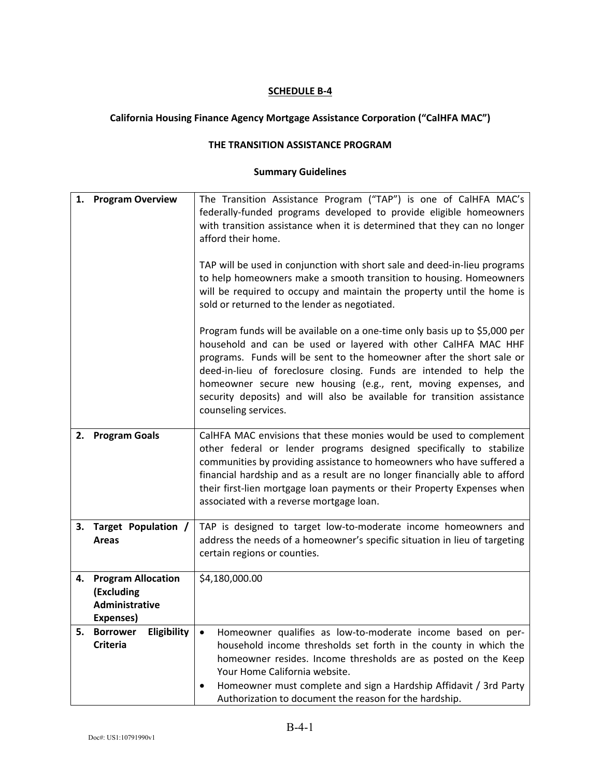# **California Housing Finance Agency Mortgage Assistance Corporation ("CalHFA MAC")**

#### **THE TRANSITION ASSISTANCE PROGRAM**

| 1. | <b>Program Overview</b>                                                | The Transition Assistance Program ("TAP") is one of CalHFA MAC's<br>federally-funded programs developed to provide eligible homeowners<br>with transition assistance when it is determined that they can no longer<br>afford their home.<br>TAP will be used in conjunction with short sale and deed-in-lieu programs<br>to help homeowners make a smooth transition to housing. Homeowners<br>will be required to occupy and maintain the property until the home is<br>sold or returned to the lender as negotiated.<br>Program funds will be available on a one-time only basis up to \$5,000 per<br>household and can be used or layered with other CalHFA MAC HHF<br>programs. Funds will be sent to the homeowner after the short sale or<br>deed-in-lieu of foreclosure closing. Funds are intended to help the<br>homeowner secure new housing (e.g., rent, moving expenses, and<br>security deposits) and will also be available for transition assistance<br>counseling services. |
|----|------------------------------------------------------------------------|---------------------------------------------------------------------------------------------------------------------------------------------------------------------------------------------------------------------------------------------------------------------------------------------------------------------------------------------------------------------------------------------------------------------------------------------------------------------------------------------------------------------------------------------------------------------------------------------------------------------------------------------------------------------------------------------------------------------------------------------------------------------------------------------------------------------------------------------------------------------------------------------------------------------------------------------------------------------------------------------|
| 2. | <b>Program Goals</b>                                                   | CalHFA MAC envisions that these monies would be used to complement<br>other federal or lender programs designed specifically to stabilize<br>communities by providing assistance to homeowners who have suffered a<br>financial hardship and as a result are no longer financially able to afford<br>their first-lien mortgage loan payments or their Property Expenses when<br>associated with a reverse mortgage loan.                                                                                                                                                                                                                                                                                                                                                                                                                                                                                                                                                                    |
| 3. | Target Population /<br>Areas                                           | TAP is designed to target low-to-moderate income homeowners and<br>address the needs of a homeowner's specific situation in lieu of targeting<br>certain regions or counties.                                                                                                                                                                                                                                                                                                                                                                                                                                                                                                                                                                                                                                                                                                                                                                                                               |
| 4. | <b>Program Allocation</b><br>(Excluding<br>Administrative<br>Expenses) | \$4,180,000.00                                                                                                                                                                                                                                                                                                                                                                                                                                                                                                                                                                                                                                                                                                                                                                                                                                                                                                                                                                              |
| 5. | Eligibility<br><b>Borrower</b><br><b>Criteria</b>                      | Homeowner qualifies as low-to-moderate income based on per-<br>$\bullet$<br>household income thresholds set forth in the county in which the<br>homeowner resides. Income thresholds are as posted on the Keep<br>Your Home California website.<br>Homeowner must complete and sign a Hardship Affidavit / 3rd Party<br>Authorization to document the reason for the hardship.                                                                                                                                                                                                                                                                                                                                                                                                                                                                                                                                                                                                              |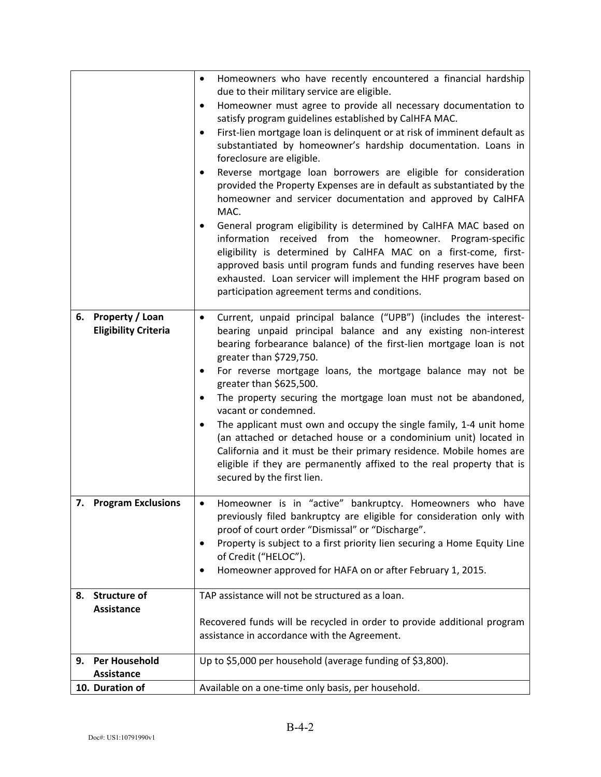|    |                             | Homeowners who have recently encountered a financial hardship<br>$\bullet$                                                                             |
|----|-----------------------------|--------------------------------------------------------------------------------------------------------------------------------------------------------|
|    |                             | due to their military service are eligible.                                                                                                            |
|    |                             | Homeowner must agree to provide all necessary documentation to<br>٠                                                                                    |
|    |                             | satisfy program guidelines established by CalHFA MAC.                                                                                                  |
|    |                             | First-lien mortgage loan is delinquent or at risk of imminent default as<br>$\bullet$<br>substantiated by homeowner's hardship documentation. Loans in |
|    |                             | foreclosure are eligible.                                                                                                                              |
|    |                             | Reverse mortgage loan borrowers are eligible for consideration<br>$\bullet$                                                                            |
|    |                             | provided the Property Expenses are in default as substantiated by the                                                                                  |
|    |                             | homeowner and servicer documentation and approved by CalHFA                                                                                            |
|    |                             | MAC.                                                                                                                                                   |
|    |                             | General program eligibility is determined by CalHFA MAC based on<br>$\bullet$                                                                          |
|    |                             | information received from the homeowner. Program-specific                                                                                              |
|    |                             | eligibility is determined by CalHFA MAC on a first-come, first-                                                                                        |
|    |                             | approved basis until program funds and funding reserves have been                                                                                      |
|    |                             | exhausted. Loan servicer will implement the HHF program based on                                                                                       |
|    |                             | participation agreement terms and conditions.                                                                                                          |
| 6. | Property / Loan             | Current, unpaid principal balance ("UPB") (includes the interest-<br>$\bullet$                                                                         |
|    | <b>Eligibility Criteria</b> | bearing unpaid principal balance and any existing non-interest                                                                                         |
|    |                             | bearing forbearance balance) of the first-lien mortgage loan is not                                                                                    |
|    |                             | greater than \$729,750.                                                                                                                                |
|    |                             | For reverse mortgage loans, the mortgage balance may not be                                                                                            |
|    |                             | greater than \$625,500.                                                                                                                                |
|    |                             | The property securing the mortgage loan must not be abandoned,<br>$\bullet$                                                                            |
|    |                             | vacant or condemned.                                                                                                                                   |
|    |                             | The applicant must own and occupy the single family, 1-4 unit home<br>٠                                                                                |
|    |                             | (an attached or detached house or a condominium unit) located in                                                                                       |
|    |                             | California and it must be their primary residence. Mobile homes are<br>eligible if they are permanently affixed to the real property that is           |
|    |                             | secured by the first lien.                                                                                                                             |
|    |                             |                                                                                                                                                        |
|    | 7. Program Exclusions       | Homeowner is in "active" bankruptcy. Homeowners who have<br>$\bullet$                                                                                  |
|    |                             | previously filed bankruptcy are eligible for consideration only with                                                                                   |
|    |                             | proof of court order "Dismissal" or "Discharge".                                                                                                       |
|    |                             | Property is subject to a first priority lien securing a Home Equity Line<br>٠                                                                          |
|    |                             | of Credit ("HELOC").                                                                                                                                   |
|    |                             | Homeowner approved for HAFA on or after February 1, 2015.                                                                                              |
| 8. | <b>Structure of</b>         | TAP assistance will not be structured as a loan.                                                                                                       |
|    | <b>Assistance</b>           |                                                                                                                                                        |
|    |                             | Recovered funds will be recycled in order to provide additional program                                                                                |
|    |                             | assistance in accordance with the Agreement.                                                                                                           |
| 9. | Per Household               | Up to \$5,000 per household (average funding of \$3,800).                                                                                              |
|    | <b>Assistance</b>           |                                                                                                                                                        |
|    | 10. Duration of             | Available on a one-time only basis, per household.                                                                                                     |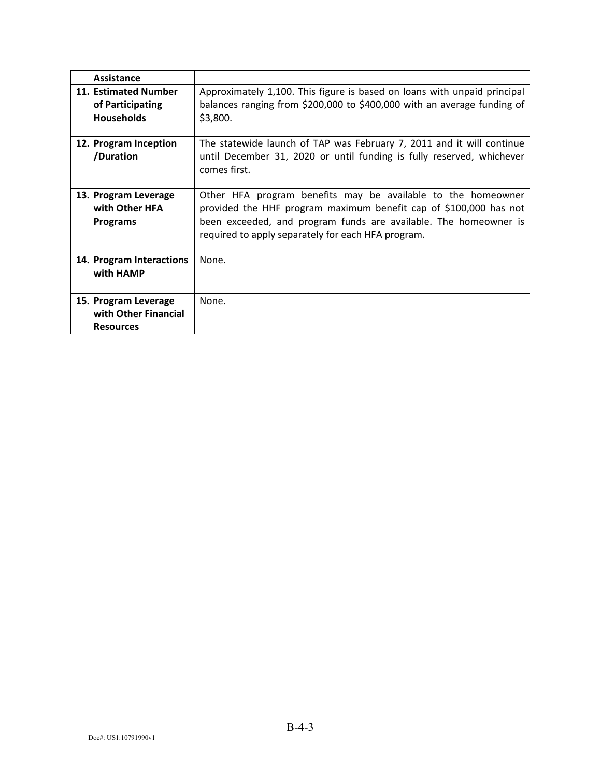| Assistance                                                       |                                                                                                                                                                                                                                                             |
|------------------------------------------------------------------|-------------------------------------------------------------------------------------------------------------------------------------------------------------------------------------------------------------------------------------------------------------|
| 11. Estimated Number<br>of Participating<br><b>Households</b>    | Approximately 1,100. This figure is based on loans with unpaid principal<br>balances ranging from \$200,000 to \$400,000 with an average funding of<br>\$3,800.                                                                                             |
| 12. Program Inception<br>/Duration                               | The statewide launch of TAP was February 7, 2011 and it will continue<br>until December 31, 2020 or until funding is fully reserved, whichever<br>comes first.                                                                                              |
| 13. Program Leverage<br>with Other HFA<br><b>Programs</b>        | Other HFA program benefits may be available to the homeowner<br>provided the HHF program maximum benefit cap of \$100,000 has not<br>been exceeded, and program funds are available. The homeowner is<br>required to apply separately for each HFA program. |
| 14. Program Interactions<br>with HAMP                            | None.                                                                                                                                                                                                                                                       |
| 15. Program Leverage<br>with Other Financial<br><b>Resources</b> | None.                                                                                                                                                                                                                                                       |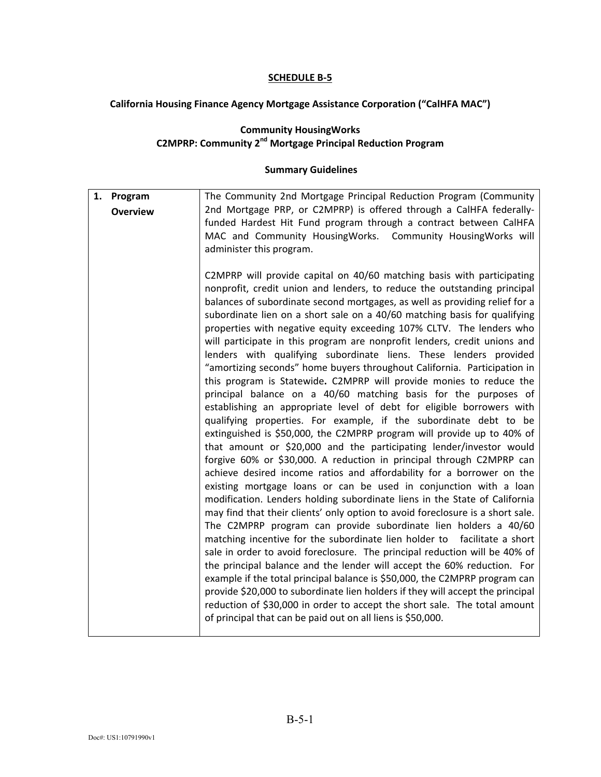#### **California Housing Finance Agency Mortgage Assistance Corporation ("CalHFA MAC")**

#### **Community HousingWorks C2MPRP: Community 2nd Mortgage Principal Reduction Program**

| 1. Program      | The Community 2nd Mortgage Principal Reduction Program (Community                                                                                                                                                                                                                                                                                                                                                                                                                                                                                                                                                                                                                                                                                                                                                                                                                                                                                                                                                                                                                                                                                                                                                                                                                                                                                                                                                                                                                                                                                                                                                                                                                                                                                                                                                                                                                                                                                                                                                                                                       |
|-----------------|-------------------------------------------------------------------------------------------------------------------------------------------------------------------------------------------------------------------------------------------------------------------------------------------------------------------------------------------------------------------------------------------------------------------------------------------------------------------------------------------------------------------------------------------------------------------------------------------------------------------------------------------------------------------------------------------------------------------------------------------------------------------------------------------------------------------------------------------------------------------------------------------------------------------------------------------------------------------------------------------------------------------------------------------------------------------------------------------------------------------------------------------------------------------------------------------------------------------------------------------------------------------------------------------------------------------------------------------------------------------------------------------------------------------------------------------------------------------------------------------------------------------------------------------------------------------------------------------------------------------------------------------------------------------------------------------------------------------------------------------------------------------------------------------------------------------------------------------------------------------------------------------------------------------------------------------------------------------------------------------------------------------------------------------------------------------------|
| <b>Overview</b> | 2nd Mortgage PRP, or C2MPRP) is offered through a CalHFA federally-<br>funded Hardest Hit Fund program through a contract between CalHFA<br>MAC and Community HousingWorks. Community HousingWorks will<br>administer this program.                                                                                                                                                                                                                                                                                                                                                                                                                                                                                                                                                                                                                                                                                                                                                                                                                                                                                                                                                                                                                                                                                                                                                                                                                                                                                                                                                                                                                                                                                                                                                                                                                                                                                                                                                                                                                                     |
|                 | C2MPRP will provide capital on 40/60 matching basis with participating<br>nonprofit, credit union and lenders, to reduce the outstanding principal<br>balances of subordinate second mortgages, as well as providing relief for a<br>subordinate lien on a short sale on a 40/60 matching basis for qualifying<br>properties with negative equity exceeding 107% CLTV. The lenders who<br>will participate in this program are nonprofit lenders, credit unions and<br>lenders with qualifying subordinate liens. These lenders provided<br>"amortizing seconds" home buyers throughout California. Participation in<br>this program is Statewide. C2MPRP will provide monies to reduce the<br>principal balance on a 40/60 matching basis for the purposes of<br>establishing an appropriate level of debt for eligible borrowers with<br>qualifying properties. For example, if the subordinate debt to be<br>extinguished is \$50,000, the C2MPRP program will provide up to 40% of<br>that amount or \$20,000 and the participating lender/investor would<br>forgive 60% or \$30,000. A reduction in principal through C2MPRP can<br>achieve desired income ratios and affordability for a borrower on the<br>existing mortgage loans or can be used in conjunction with a loan<br>modification. Lenders holding subordinate liens in the State of California<br>may find that their clients' only option to avoid foreclosure is a short sale.<br>The C2MPRP program can provide subordinate lien holders a 40/60<br>matching incentive for the subordinate lien holder to facilitate a short<br>sale in order to avoid foreclosure. The principal reduction will be 40% of<br>the principal balance and the lender will accept the 60% reduction. For<br>example if the total principal balance is \$50,000, the C2MPRP program can<br>provide \$20,000 to subordinate lien holders if they will accept the principal<br>reduction of \$30,000 in order to accept the short sale. The total amount<br>of principal that can be paid out on all liens is \$50,000. |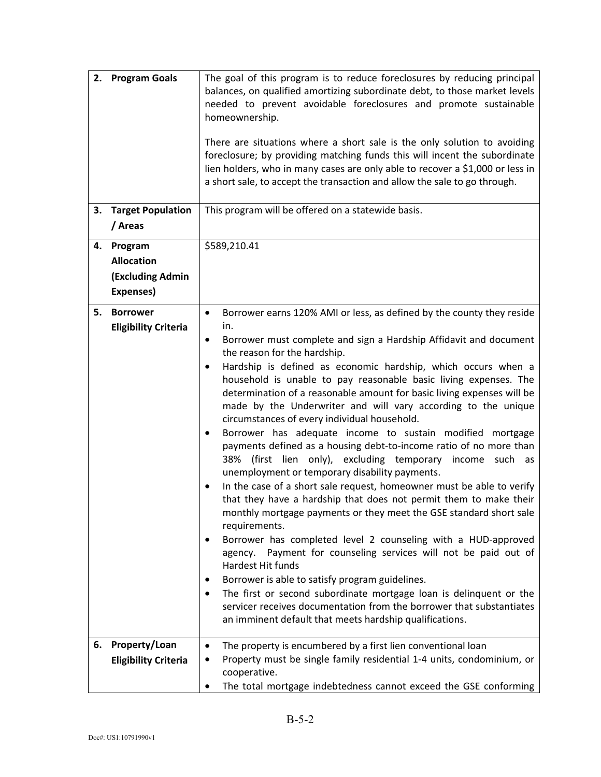| 3. | 2. Program Goals<br><b>Target Population</b>                         | The goal of this program is to reduce foreclosures by reducing principal<br>balances, on qualified amortizing subordinate debt, to those market levels<br>needed to prevent avoidable foreclosures and promote sustainable<br>homeownership.<br>There are situations where a short sale is the only solution to avoiding<br>foreclosure; by providing matching funds this will incent the subordinate<br>lien holders, who in many cases are only able to recover a \$1,000 or less in<br>a short sale, to accept the transaction and allow the sale to go through.<br>This program will be offered on a statewide basis.                                                                                                                                                                                                                                                                                                                                                                                                                                                                                                                                                                                                                                                                                                                                                                                                                                      |
|----|----------------------------------------------------------------------|----------------------------------------------------------------------------------------------------------------------------------------------------------------------------------------------------------------------------------------------------------------------------------------------------------------------------------------------------------------------------------------------------------------------------------------------------------------------------------------------------------------------------------------------------------------------------------------------------------------------------------------------------------------------------------------------------------------------------------------------------------------------------------------------------------------------------------------------------------------------------------------------------------------------------------------------------------------------------------------------------------------------------------------------------------------------------------------------------------------------------------------------------------------------------------------------------------------------------------------------------------------------------------------------------------------------------------------------------------------------------------------------------------------------------------------------------------------|
|    | / Areas                                                              |                                                                                                                                                                                                                                                                                                                                                                                                                                                                                                                                                                                                                                                                                                                                                                                                                                                                                                                                                                                                                                                                                                                                                                                                                                                                                                                                                                                                                                                                |
| 4. | Program<br><b>Allocation</b><br><b>(Excluding Admin</b><br>Expenses) | \$589,210.41                                                                                                                                                                                                                                                                                                                                                                                                                                                                                                                                                                                                                                                                                                                                                                                                                                                                                                                                                                                                                                                                                                                                                                                                                                                                                                                                                                                                                                                   |
| 5. | <b>Borrower</b><br><b>Eligibility Criteria</b>                       | Borrower earns 120% AMI or less, as defined by the county they reside<br>$\bullet$<br>in.<br>Borrower must complete and sign a Hardship Affidavit and document<br>٠<br>the reason for the hardship.<br>Hardship is defined as economic hardship, which occurs when a<br>٠<br>household is unable to pay reasonable basic living expenses. The<br>determination of a reasonable amount for basic living expenses will be<br>made by the Underwriter and will vary according to the unique<br>circumstances of every individual household.<br>Borrower has adequate income to sustain modified mortgage<br>٠<br>payments defined as a housing debt-to-income ratio of no more than<br>38% (first lien only), excluding temporary income such as<br>unemployment or temporary disability payments.<br>In the case of a short sale request, homeowner must be able to verify<br>that they have a hardship that does not permit them to make their<br>monthly mortgage payments or they meet the GSE standard short sale<br>requirements.<br>Borrower has completed level 2 counseling with a HUD-approved<br>agency. Payment for counseling services will not be paid out of<br>Hardest Hit funds<br>Borrower is able to satisfy program guidelines.<br>٠<br>The first or second subordinate mortgage loan is delinquent or the<br>servicer receives documentation from the borrower that substantiates<br>an imminent default that meets hardship qualifications. |
| 6. | Property/Loan<br><b>Eligibility Criteria</b>                         | The property is encumbered by a first lien conventional loan<br>٠<br>Property must be single family residential 1-4 units, condominium, or<br>cooperative.<br>The total mortgage indebtedness cannot exceed the GSE conforming                                                                                                                                                                                                                                                                                                                                                                                                                                                                                                                                                                                                                                                                                                                                                                                                                                                                                                                                                                                                                                                                                                                                                                                                                                 |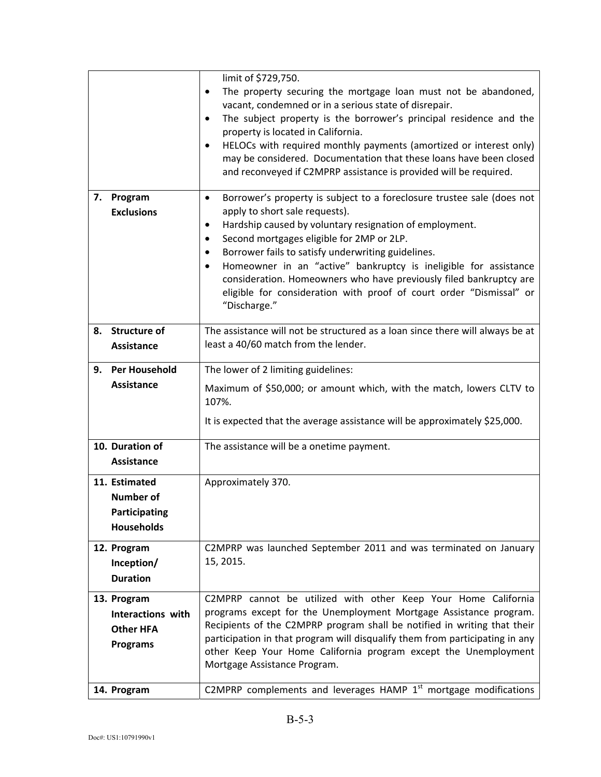|    |                                  | limit of \$729,750.<br>The property securing the mortgage loan must not be abandoned,<br>٠<br>vacant, condemned or in a serious state of disrepair.<br>The subject property is the borrower's principal residence and the<br>٠<br>property is located in California.<br>HELOCs with required monthly payments (amortized or interest only)<br>٠<br>may be considered. Documentation that these loans have been closed<br>and reconveyed if C2MPRP assistance is provided will be required. |
|----|----------------------------------|--------------------------------------------------------------------------------------------------------------------------------------------------------------------------------------------------------------------------------------------------------------------------------------------------------------------------------------------------------------------------------------------------------------------------------------------------------------------------------------------|
| 7. | Program                          | Borrower's property is subject to a foreclosure trustee sale (does not<br>$\bullet$                                                                                                                                                                                                                                                                                                                                                                                                        |
|    | <b>Exclusions</b>                | apply to short sale requests).                                                                                                                                                                                                                                                                                                                                                                                                                                                             |
|    |                                  | Hardship caused by voluntary resignation of employment.<br>٠<br>Second mortgages eligible for 2MP or 2LP.<br>٠                                                                                                                                                                                                                                                                                                                                                                             |
|    |                                  | Borrower fails to satisfy underwriting guidelines.<br>٠                                                                                                                                                                                                                                                                                                                                                                                                                                    |
|    |                                  | Homeowner in an "active" bankruptcy is ineligible for assistance<br>٠                                                                                                                                                                                                                                                                                                                                                                                                                      |
|    |                                  | consideration. Homeowners who have previously filed bankruptcy are<br>eligible for consideration with proof of court order "Dismissal" or<br>"Discharge."                                                                                                                                                                                                                                                                                                                                  |
| 8. | <b>Structure of</b>              | The assistance will not be structured as a loan since there will always be at                                                                                                                                                                                                                                                                                                                                                                                                              |
|    | Assistance                       | least a 40/60 match from the lender.                                                                                                                                                                                                                                                                                                                                                                                                                                                       |
| 9. | <b>Per Household</b>             | The lower of 2 limiting guidelines:                                                                                                                                                                                                                                                                                                                                                                                                                                                        |
|    | <b>Assistance</b>                | Maximum of \$50,000; or amount which, with the match, lowers CLTV to<br>107%.                                                                                                                                                                                                                                                                                                                                                                                                              |
|    |                                  | It is expected that the average assistance will be approximately \$25,000.                                                                                                                                                                                                                                                                                                                                                                                                                 |
|    | 10. Duration of                  | The assistance will be a onetime payment.                                                                                                                                                                                                                                                                                                                                                                                                                                                  |
|    | <b>Assistance</b>                |                                                                                                                                                                                                                                                                                                                                                                                                                                                                                            |
|    | 11. Estimated                    | Approximately 370.                                                                                                                                                                                                                                                                                                                                                                                                                                                                         |
|    | <b>Number of</b>                 |                                                                                                                                                                                                                                                                                                                                                                                                                                                                                            |
|    | Participating                    |                                                                                                                                                                                                                                                                                                                                                                                                                                                                                            |
|    | <b>Households</b>                |                                                                                                                                                                                                                                                                                                                                                                                                                                                                                            |
|    | 12. Program                      | C2MPRP was launched September 2011 and was terminated on January                                                                                                                                                                                                                                                                                                                                                                                                                           |
|    | Inception/                       | 15, 2015.                                                                                                                                                                                                                                                                                                                                                                                                                                                                                  |
|    | <b>Duration</b>                  |                                                                                                                                                                                                                                                                                                                                                                                                                                                                                            |
|    | 13. Program<br>Interactions with | C2MPRP cannot be utilized with other Keep Your Home California<br>programs except for the Unemployment Mortgage Assistance program.                                                                                                                                                                                                                                                                                                                                                        |
|    | <b>Other HFA</b>                 | Recipients of the C2MPRP program shall be notified in writing that their                                                                                                                                                                                                                                                                                                                                                                                                                   |
|    | <b>Programs</b>                  | participation in that program will disqualify them from participating in any                                                                                                                                                                                                                                                                                                                                                                                                               |
|    |                                  | other Keep Your Home California program except the Unemployment<br>Mortgage Assistance Program.                                                                                                                                                                                                                                                                                                                                                                                            |
|    | 14. Program                      | C2MPRP complements and leverages HAMP 1 <sup>st</sup> mortgage modifications                                                                                                                                                                                                                                                                                                                                                                                                               |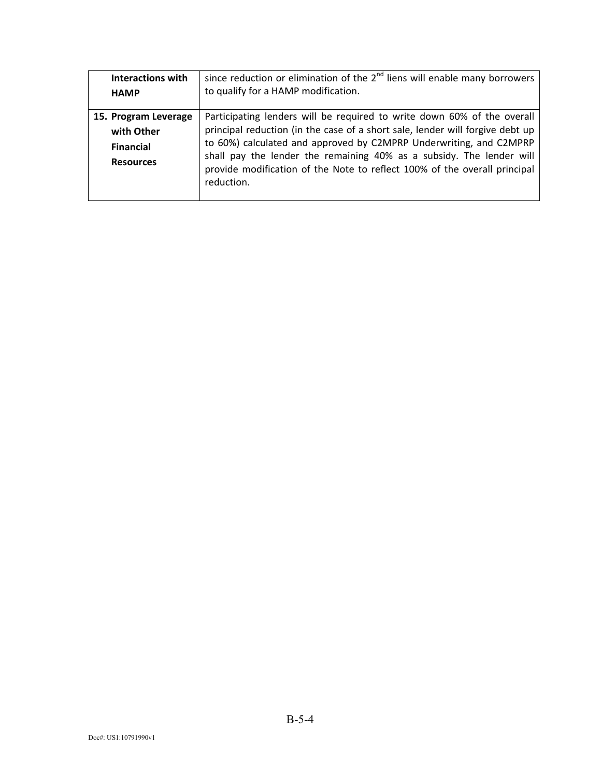| <b>Interactions with</b> | since reduction or elimination of the $2nd$ liens will enable many borrowers                                                                      |
|--------------------------|---------------------------------------------------------------------------------------------------------------------------------------------------|
| <b>HAMP</b>              | to qualify for a HAMP modification.                                                                                                               |
|                          |                                                                                                                                                   |
| 15. Program Leverage     | Participating lenders will be required to write down 60% of the overall                                                                           |
| with Other               | principal reduction (in the case of a short sale, lender will forgive debt up                                                                     |
| <b>Financial</b>         | to 60%) calculated and approved by C2MPRP Underwriting, and C2MPRP                                                                                |
| <b>Resources</b>         | shall pay the lender the remaining 40% as a subsidy. The lender will<br>provide modification of the Note to reflect 100% of the overall principal |
|                          | reduction.                                                                                                                                        |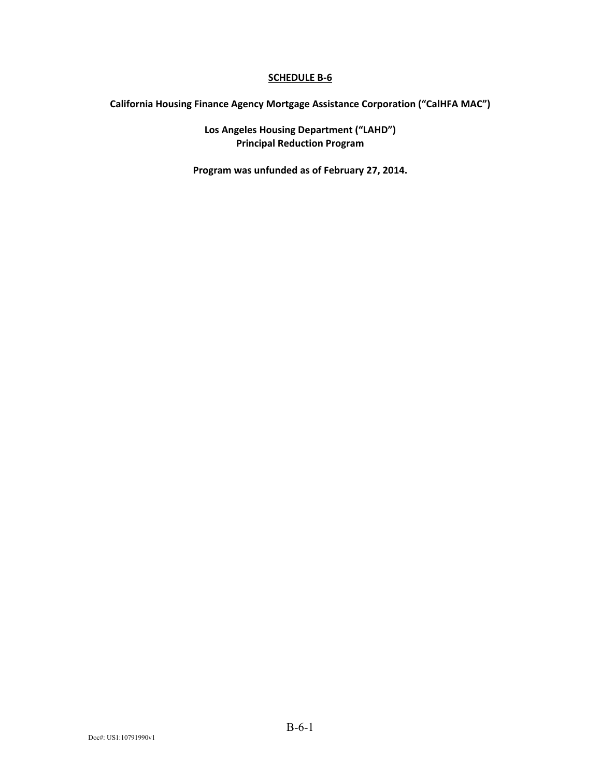**California Housing Finance Agency Mortgage Assistance Corporation ("CalHFA MAC")** 

**Los Angeles Housing Department ("LAHD") Principal Reduction Program** 

**Program was unfunded as of February 27, 2014.**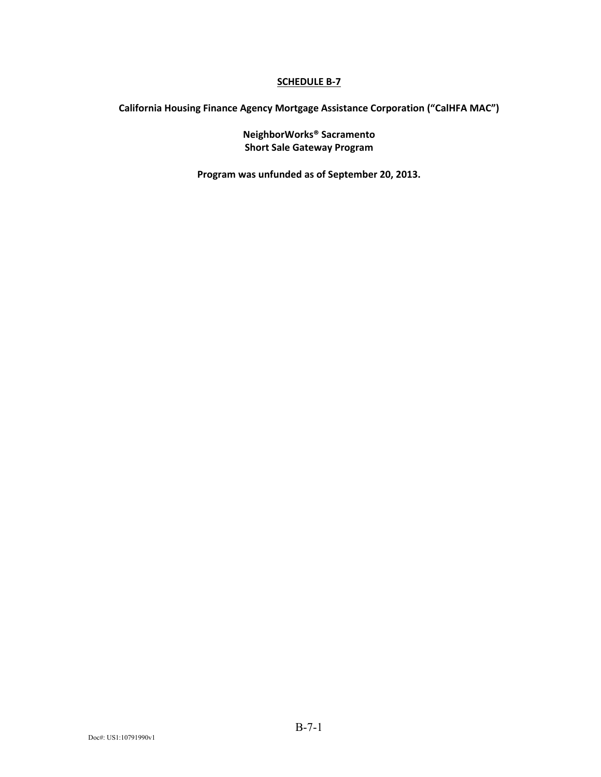**California Housing Finance Agency Mortgage Assistance Corporation ("CalHFA MAC")** 

**NeighborWorks® Sacramento Short Sale Gateway Program** 

**Program was unfunded as of September 20, 2013.**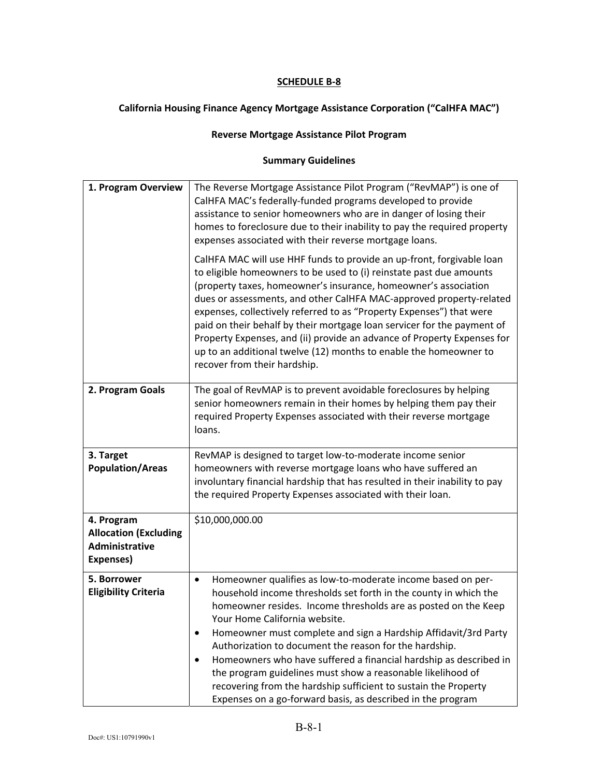## **California Housing Finance Agency Mortgage Assistance Corporation ("CalHFA MAC")**

#### **Reverse Mortgage Assistance Pilot Program**

| 1. Program Overview                                                       | The Reverse Mortgage Assistance Pilot Program ("RevMAP") is one of<br>CalHFA MAC's federally-funded programs developed to provide<br>assistance to senior homeowners who are in danger of losing their<br>homes to foreclosure due to their inability to pay the required property<br>expenses associated with their reverse mortgage loans.<br>CalHFA MAC will use HHF funds to provide an up-front, forgivable loan<br>to eligible homeowners to be used to (i) reinstate past due amounts<br>(property taxes, homeowner's insurance, homeowner's association<br>dues or assessments, and other CalHFA MAC-approved property-related<br>expenses, collectively referred to as "Property Expenses") that were<br>paid on their behalf by their mortgage loan servicer for the payment of<br>Property Expenses, and (ii) provide an advance of Property Expenses for<br>up to an additional twelve (12) months to enable the homeowner to<br>recover from their hardship. |
|---------------------------------------------------------------------------|---------------------------------------------------------------------------------------------------------------------------------------------------------------------------------------------------------------------------------------------------------------------------------------------------------------------------------------------------------------------------------------------------------------------------------------------------------------------------------------------------------------------------------------------------------------------------------------------------------------------------------------------------------------------------------------------------------------------------------------------------------------------------------------------------------------------------------------------------------------------------------------------------------------------------------------------------------------------------|
| 2. Program Goals                                                          | The goal of RevMAP is to prevent avoidable foreclosures by helping<br>senior homeowners remain in their homes by helping them pay their<br>required Property Expenses associated with their reverse mortgage<br>loans.                                                                                                                                                                                                                                                                                                                                                                                                                                                                                                                                                                                                                                                                                                                                                    |
| 3. Target<br><b>Population/Areas</b>                                      | RevMAP is designed to target low-to-moderate income senior<br>homeowners with reverse mortgage loans who have suffered an<br>involuntary financial hardship that has resulted in their inability to pay<br>the required Property Expenses associated with their loan.                                                                                                                                                                                                                                                                                                                                                                                                                                                                                                                                                                                                                                                                                                     |
| 4. Program<br><b>Allocation (Excluding</b><br>Administrative<br>Expenses) | \$10,000,000.00                                                                                                                                                                                                                                                                                                                                                                                                                                                                                                                                                                                                                                                                                                                                                                                                                                                                                                                                                           |
| 5. Borrower<br><b>Eligibility Criteria</b>                                | Homeowner qualifies as low-to-moderate income based on per-<br>$\bullet$<br>household income thresholds set forth in the county in which the<br>homeowner resides. Income thresholds are as posted on the Keep<br>Your Home California website.<br>Homeowner must complete and sign a Hardship Affidavit/3rd Party<br>Authorization to document the reason for the hardship.<br>Homeowners who have suffered a financial hardship as described in<br>the program guidelines must show a reasonable likelihood of<br>recovering from the hardship sufficient to sustain the Property<br>Expenses on a go-forward basis, as described in the program                                                                                                                                                                                                                                                                                                                        |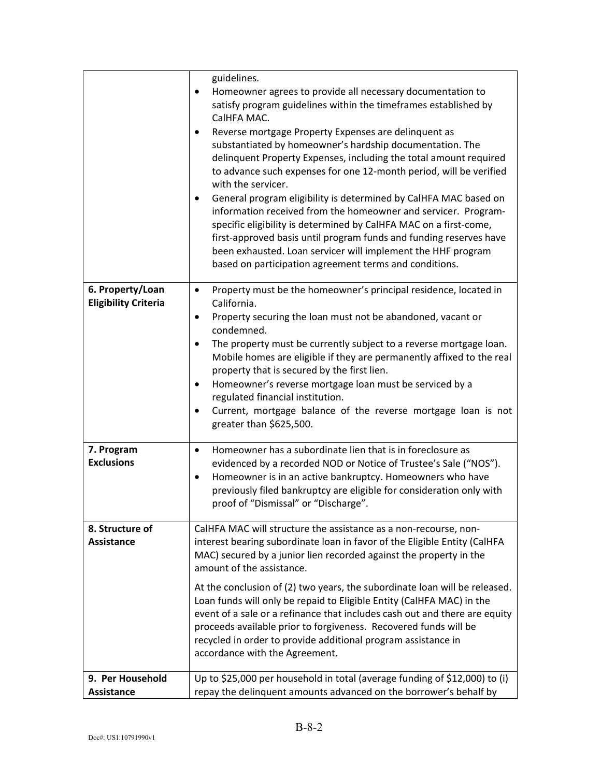|                                                 | guidelines.                                                                                                                                                                                                                                                                                                                                                                                              |
|-------------------------------------------------|----------------------------------------------------------------------------------------------------------------------------------------------------------------------------------------------------------------------------------------------------------------------------------------------------------------------------------------------------------------------------------------------------------|
|                                                 | Homeowner agrees to provide all necessary documentation to<br>٠<br>satisfy program guidelines within the timeframes established by<br>CalHFA MAC.                                                                                                                                                                                                                                                        |
|                                                 | Reverse mortgage Property Expenses are delinquent as<br>substantiated by homeowner's hardship documentation. The<br>delinquent Property Expenses, including the total amount required<br>to advance such expenses for one 12-month period, will be verified<br>with the servicer.<br>General program eligibility is determined by CalHFA MAC based on<br>$\bullet$                                       |
|                                                 | information received from the homeowner and servicer. Program-<br>specific eligibility is determined by CalHFA MAC on a first-come,<br>first-approved basis until program funds and funding reserves have<br>been exhausted. Loan servicer will implement the HHF program<br>based on participation agreement terms and conditions.                                                                      |
| 6. Property/Loan<br><b>Eligibility Criteria</b> | Property must be the homeowner's principal residence, located in<br>$\bullet$<br>California.                                                                                                                                                                                                                                                                                                             |
|                                                 | Property securing the loan must not be abandoned, vacant or<br>$\bullet$<br>condemned.                                                                                                                                                                                                                                                                                                                   |
|                                                 | The property must be currently subject to a reverse mortgage loan.<br>$\bullet$<br>Mobile homes are eligible if they are permanently affixed to the real<br>property that is secured by the first lien.                                                                                                                                                                                                  |
|                                                 | Homeowner's reverse mortgage loan must be serviced by a<br>$\bullet$<br>regulated financial institution.                                                                                                                                                                                                                                                                                                 |
|                                                 | Current, mortgage balance of the reverse mortgage loan is not<br>$\bullet$<br>greater than \$625,500.                                                                                                                                                                                                                                                                                                    |
| 7. Program<br><b>Exclusions</b>                 | Homeowner has a subordinate lien that is in foreclosure as<br>$\bullet$<br>evidenced by a recorded NOD or Notice of Trustee's Sale ("NOS").<br>Homeowner is in an active bankruptcy. Homeowners who have<br>$\bullet$<br>previously filed bankruptcy are eligible for consideration only with<br>proof of "Dismissal" or "Discharge".                                                                    |
| 8. Structure of<br><b>Assistance</b>            | CalHFA MAC will structure the assistance as a non-recourse, non-<br>interest bearing subordinate loan in favor of the Eligible Entity (CalHFA<br>MAC) secured by a junior lien recorded against the property in the<br>amount of the assistance.                                                                                                                                                         |
|                                                 | At the conclusion of (2) two years, the subordinate loan will be released.<br>Loan funds will only be repaid to Eligible Entity (CalHFA MAC) in the<br>event of a sale or a refinance that includes cash out and there are equity<br>proceeds available prior to forgiveness. Recovered funds will be<br>recycled in order to provide additional program assistance in<br>accordance with the Agreement. |
| 9. Per Household<br>Assistance                  | Up to \$25,000 per household in total (average funding of \$12,000) to (i)<br>repay the delinquent amounts advanced on the borrower's behalf by                                                                                                                                                                                                                                                          |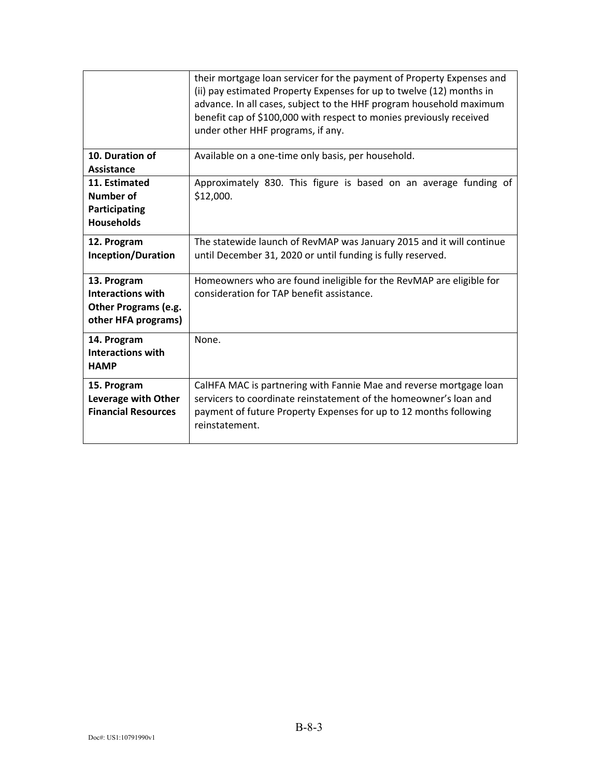|                                                                                               | their mortgage loan servicer for the payment of Property Expenses and<br>(ii) pay estimated Property Expenses for up to twelve (12) months in<br>advance. In all cases, subject to the HHF program household maximum<br>benefit cap of \$100,000 with respect to monies previously received<br>under other HHF programs, if any. |
|-----------------------------------------------------------------------------------------------|----------------------------------------------------------------------------------------------------------------------------------------------------------------------------------------------------------------------------------------------------------------------------------------------------------------------------------|
| 10. Duration of<br><b>Assistance</b>                                                          | Available on a one-time only basis, per household.                                                                                                                                                                                                                                                                               |
| 11. Estimated<br>Number of<br>Participating<br><b>Households</b>                              | Approximately 830. This figure is based on an average funding of<br>\$12,000.                                                                                                                                                                                                                                                    |
| 12. Program<br>Inception/Duration                                                             | The statewide launch of RevMAP was January 2015 and it will continue<br>until December 31, 2020 or until funding is fully reserved.                                                                                                                                                                                              |
| 13. Program<br><b>Interactions with</b><br><b>Other Programs (e.g.</b><br>other HFA programs) | Homeowners who are found ineligible for the RevMAP are eligible for<br>consideration for TAP benefit assistance.                                                                                                                                                                                                                 |
| 14. Program<br><b>Interactions with</b><br><b>HAMP</b>                                        | None.                                                                                                                                                                                                                                                                                                                            |
| 15. Program<br>Leverage with Other<br><b>Financial Resources</b>                              | CalHFA MAC is partnering with Fannie Mae and reverse mortgage loan<br>servicers to coordinate reinstatement of the homeowner's loan and<br>payment of future Property Expenses for up to 12 months following<br>reinstatement.                                                                                                   |